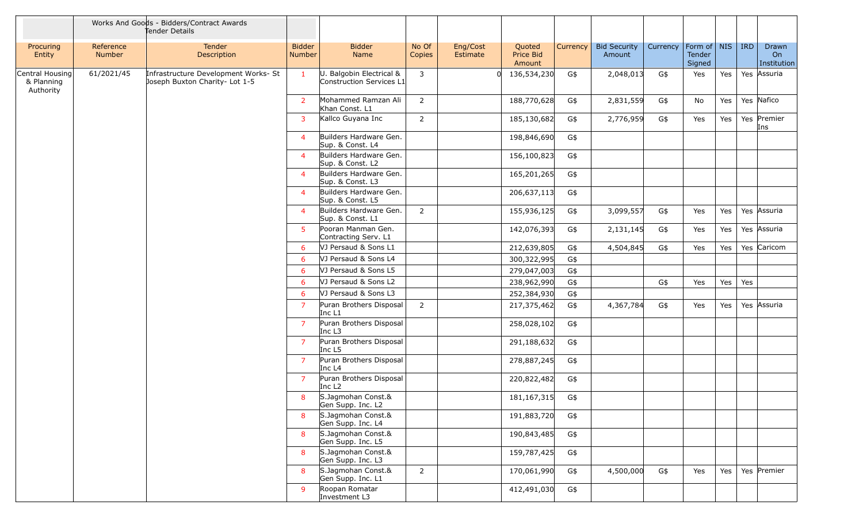|                                            |                            | Works And Goods - Bidders/Contract Awards<br>Tender Details            |                                |                                                      |                 |                      |                               |          |                               |          |                                 |     |            |                            |
|--------------------------------------------|----------------------------|------------------------------------------------------------------------|--------------------------------|------------------------------------------------------|-----------------|----------------------|-------------------------------|----------|-------------------------------|----------|---------------------------------|-----|------------|----------------------------|
| Procuring<br>Entity                        | Reference<br><b>Number</b> | Tender<br>Description                                                  | <b>Bidder</b><br><b>Number</b> | <b>Bidder</b><br>Name                                | No Of<br>Copies | Eng/Cost<br>Estimate | Quoted<br>Price Bid<br>Amount | Currency | <b>Bid Security</b><br>Amount | Currency | Form of NIS<br>Tender<br>Signed |     | <b>IRD</b> | Drawn<br>On<br>Institution |
| Central Housing<br>& Planning<br>Authority | 61/2021/45                 | Infrastructure Development Works- St<br>Joseph Buxton Charity- Lot 1-5 | $\mathbf{1}$                   | U. Balgobin Electrical &<br>Construction Services L1 | $\mathbf{3}$    |                      | 136,534,230                   | G\$      | 2,048,013                     | G\$      | Yes                             | Yes |            | Yes Assuria                |
|                                            |                            |                                                                        | 2                              | Mohammed Ramzan Ali<br>Khan Const. L1                | $\overline{2}$  |                      | 188,770,628                   | G\$      | 2,831,559                     | G\$      | No                              | Yes |            | Yes Nafico                 |
|                                            |                            |                                                                        | 3                              | Kallco Guyana Inc                                    | 2               |                      | 185,130,682                   | G\$      | 2,776,959                     | G\$      | Yes                             | Yes |            | Yes Premier<br>Ins         |
|                                            |                            |                                                                        | 4                              | Builders Hardware Gen.<br>Sup. & Const. L4           |                 |                      | 198,846,690                   | G\$      |                               |          |                                 |     |            |                            |
|                                            |                            |                                                                        | $\overline{4}$                 | Builders Hardware Gen.<br>Sup. & Const. L2           |                 |                      | 156,100,823                   | G\$      |                               |          |                                 |     |            |                            |
|                                            |                            |                                                                        | $\overline{4}$                 | Builders Hardware Gen.<br>Sup. & Const. L3           |                 |                      | 165,201,265                   | G\$      |                               |          |                                 |     |            |                            |
|                                            |                            |                                                                        | $\overline{4}$                 | Builders Hardware Gen.<br>Sup. & Const. L5           |                 |                      | 206,637,113                   | G\$      |                               |          |                                 |     |            |                            |
|                                            |                            |                                                                        | $\overline{4}$                 | Builders Hardware Gen.<br>Sup. & Const. L1           | $\overline{2}$  |                      | 155,936,125                   | G\$      | 3,099,557                     | G\$      | Yes                             | Yes |            | Yes Assuria                |
|                                            |                            |                                                                        | 5                              | Pooran Manman Gen.<br>Contracting Serv. L1           |                 |                      | 142,076,393                   | G\$      | 2,131,145                     | G\$      | Yes                             | Yes |            | Yes Assuria                |
|                                            |                            |                                                                        | 6                              | VJ Persaud & Sons L1                                 |                 |                      | 212,639,805                   | G\$      | 4,504,845                     | G\$      | Yes                             | Yes |            | Yes Caricom                |
|                                            |                            |                                                                        | 6                              | VJ Persaud & Sons L4                                 |                 |                      | 300,322,995                   | G\$      |                               |          |                                 |     |            |                            |
|                                            |                            |                                                                        | 6                              | VJ Persaud & Sons L5                                 |                 |                      | 279,047,003                   | G\$      |                               |          |                                 |     |            |                            |
|                                            |                            |                                                                        | 6                              | VJ Persaud & Sons L2                                 |                 |                      | 238,962,990                   | G\$      |                               | G\$      | Yes                             | Yes | Yes        |                            |
|                                            |                            |                                                                        | 6                              | VJ Persaud & Sons L3                                 |                 |                      | 252,384,930                   | G\$      |                               |          |                                 |     |            |                            |
|                                            |                            |                                                                        | $\overline{7}$                 | Puran Brothers Disposal<br>Inc L1                    | 2               |                      | 217,375,462                   | G\$      | 4,367,784                     | G\$      | Yes                             | Yes |            | Yes Assuria                |
|                                            |                            |                                                                        | $\overline{7}$                 | Puran Brothers Disposal<br>Inc L3                    |                 |                      | 258,028,102                   | G\$      |                               |          |                                 |     |            |                            |
|                                            |                            |                                                                        | $\overline{7}$                 | Puran Brothers Disposal<br>Inc L5                    |                 |                      | 291,188,632                   | G\$      |                               |          |                                 |     |            |                            |
|                                            |                            |                                                                        | $\overline{7}$                 | Puran Brothers Disposal<br>Inc L4                    |                 |                      | 278,887,245                   | G\$      |                               |          |                                 |     |            |                            |
|                                            |                            |                                                                        | 7                              | Puran Brothers Disposal<br>Inc L <sub>2</sub>        |                 |                      | 220,822,482                   | G\$      |                               |          |                                 |     |            |                            |
|                                            |                            |                                                                        | 8                              | S.Jagmohan Const.&<br>Gen Supp. Inc. L2              |                 |                      | 181, 167, 315                 | G\$      |                               |          |                                 |     |            |                            |
|                                            |                            |                                                                        | 8                              | S.Jagmohan Const.&<br>Gen Supp. Inc. L4              |                 |                      | 191,883,720                   | G\$      |                               |          |                                 |     |            |                            |
|                                            |                            |                                                                        | 8                              | S.Jagmohan Const.&<br>Gen Supp. Inc. L5              |                 |                      | 190,843,485                   | G\$      |                               |          |                                 |     |            |                            |
|                                            |                            |                                                                        | 8                              | S.Jagmohan Const.&<br>Gen Supp. Inc. L3              |                 |                      | 159,787,425                   | G\$      |                               |          |                                 |     |            |                            |
|                                            |                            |                                                                        | 8                              | S.Jagmohan Const.&<br>Gen Supp. Inc. L1              | $\overline{2}$  |                      | 170,061,990                   | G\$      | 4,500,000                     | G\$      | Yes                             | Yes |            | Yes Premier                |
|                                            |                            |                                                                        | -9                             | Roopan Romatar<br>Investment L3                      |                 |                      | 412,491,030                   | G\$      |                               |          |                                 |     |            |                            |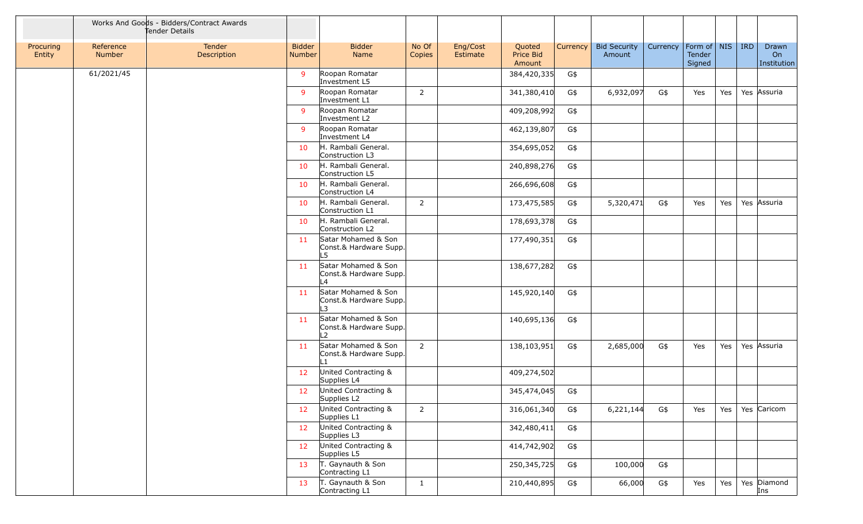|                     |                            | Works And Goods - Bidders/Contract Awards<br>Tender Details |                         |                                                                 |                 |                      |                               |          |                               |          |                                 |     |     |                            |
|---------------------|----------------------------|-------------------------------------------------------------|-------------------------|-----------------------------------------------------------------|-----------------|----------------------|-------------------------------|----------|-------------------------------|----------|---------------------------------|-----|-----|----------------------------|
| Procuring<br>Entity | Reference<br><b>Number</b> | Tender<br>Description                                       | <b>Bidder</b><br>Number | <b>Bidder</b><br>Name                                           | No Of<br>Copies | Eng/Cost<br>Estimate | Quoted<br>Price Bid<br>Amount | Currency | <b>Bid Security</b><br>Amount | Currency | Form of NIS<br>Tender<br>Signed |     | IRD | Drawn<br>On<br>Institution |
|                     | 61/2021/45                 |                                                             | 9                       | Roopan Romatar<br>Investment L5                                 |                 |                      | 384,420,335                   | G\$      |                               |          |                                 |     |     |                            |
|                     |                            |                                                             | 9                       | Roopan Romatar<br>Investment L1                                 | $\overline{2}$  |                      | 341,380,410                   | G\$      | 6,932,097                     | G\$      | Yes                             | Yes |     | Yes Assuria                |
|                     |                            |                                                             | -9                      | Roopan Romatar<br>Investment L2                                 |                 |                      | 409,208,992                   | G\$      |                               |          |                                 |     |     |                            |
|                     |                            |                                                             | -9                      | Roopan Romatar<br>Investment L4                                 |                 |                      | 462,139,807                   | G\$      |                               |          |                                 |     |     |                            |
|                     |                            |                                                             | 10                      | H. Rambali General.<br>Construction L3                          |                 |                      | 354,695,052                   | G\$      |                               |          |                                 |     |     |                            |
|                     |                            |                                                             | 10                      | H. Rambali General.<br>Construction L5                          |                 |                      | 240,898,276                   | G\$      |                               |          |                                 |     |     |                            |
|                     |                            |                                                             | 10                      | H. Rambali General.<br>Construction L4                          |                 |                      | 266,696,608                   | G\$      |                               |          |                                 |     |     |                            |
|                     |                            |                                                             | 10                      | H. Rambali General.<br>Construction L1                          | $\overline{2}$  |                      | 173,475,585                   | G\$      | 5,320,471                     | G\$      | Yes                             | Yes |     | Yes Assuria                |
|                     |                            |                                                             | 10                      | H. Rambali General.<br>Construction L2                          |                 |                      | 178,693,378                   | G\$      |                               |          |                                 |     |     |                            |
|                     |                            |                                                             | 11                      | Satar Mohamed & Son<br>Const.& Hardware Supp.<br>L5.            |                 |                      | 177,490,351                   | G\$      |                               |          |                                 |     |     |                            |
|                     |                            |                                                             | 11                      | Satar Mohamed & Son<br>Const.& Hardware Supp.<br>L4             |                 |                      | 138,677,282                   | G\$      |                               |          |                                 |     |     |                            |
|                     |                            |                                                             | 11                      | Satar Mohamed & Son<br>Const.& Hardware Supp.<br>3              |                 |                      | 145,920,140                   | G\$      |                               |          |                                 |     |     |                            |
|                     |                            |                                                             | 11                      | Satar Mohamed & Son<br>Const.& Hardware Supp.<br>$\overline{2}$ |                 |                      | 140,695,136                   | G\$      |                               |          |                                 |     |     |                            |
|                     |                            |                                                             | 11                      | Satar Mohamed & Son<br>Const.& Hardware Supp.<br>$\mathbf{1}$   | $\overline{2}$  |                      | 138,103,951                   | G\$      | 2,685,000                     | G\$      | Yes                             | Yes |     | Yes Assuria                |
|                     |                            |                                                             | 12                      | United Contracting &<br>Supplies L4                             |                 |                      | 409,274,502                   |          |                               |          |                                 |     |     |                            |
|                     |                            |                                                             | 12                      | United Contracting &<br>Supplies L2                             |                 |                      | 345,474,045                   | G\$      |                               |          |                                 |     |     |                            |
|                     |                            |                                                             | 12                      | United Contracting &<br>Supplies L1                             | $\overline{2}$  |                      | 316,061,340                   | G\$      | 6,221,144                     | G\$      | Yes                             | Yes |     | Yes Caricom                |
|                     |                            |                                                             | 12                      | United Contracting &<br>Supplies L3                             |                 |                      | 342,480,411                   | G\$      |                               |          |                                 |     |     |                            |
|                     |                            |                                                             | 12                      | United Contracting &<br>Supplies L5                             |                 |                      | 414,742,902                   | G\$      |                               |          |                                 |     |     |                            |
|                     |                            |                                                             | 13                      | T. Gaynauth & Son<br>Contracting L1                             |                 |                      | 250,345,725                   | G\$      | 100,000                       | G\$      |                                 |     |     |                            |
|                     |                            |                                                             | 13                      | T. Gaynauth & Son<br>Contracting L1                             | $\mathbf{1}$    |                      | 210,440,895                   | G\$      | 66,000                        | G\$      | Yes                             | Yes |     | Yes Diamond<br>Ins         |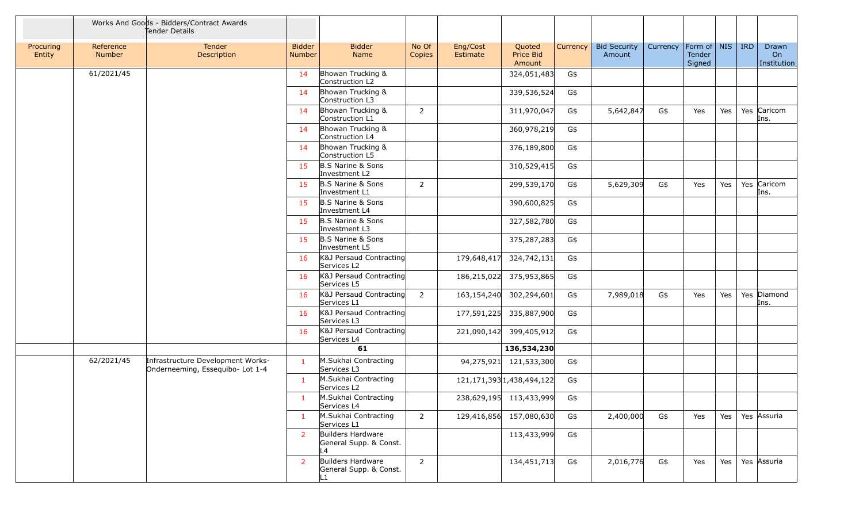|                     |                     | Works And Goods - Bidders/Contract Awards<br>Tender Details           |                                |                                                    |                 |                      |                                |          |                               |          |                                   |     |            |                            |
|---------------------|---------------------|-----------------------------------------------------------------------|--------------------------------|----------------------------------------------------|-----------------|----------------------|--------------------------------|----------|-------------------------------|----------|-----------------------------------|-----|------------|----------------------------|
| Procuring<br>Entity | Reference<br>Number | Tender<br>Description                                                 | <b>Bidder</b><br><b>Number</b> | <b>Bidder</b><br>Name                              | No Of<br>Copies | Eng/Cost<br>Estimate | Quoted<br>Price Bid<br>Amount  | Currency | <b>Bid Security</b><br>Amount | Currency | Form of   NIS<br>Tender<br>Signed |     | <b>IRD</b> | Drawn<br>On<br>Institution |
|                     | 61/2021/45          |                                                                       | -14                            | Bhowan Trucking &<br>Construction L2               |                 |                      | 324,051,483                    | G\$      |                               |          |                                   |     |            |                            |
|                     |                     |                                                                       | 14                             | Bhowan Trucking &<br>Construction L3               |                 |                      | 339,536,524                    | G\$      |                               |          |                                   |     |            |                            |
|                     |                     |                                                                       | 14                             | Bhowan Trucking &<br>Construction L1               | $\overline{2}$  |                      | 311,970,047                    | G\$      | 5,642,847                     | G\$      | Yes                               | Yes |            | Yes Caricom<br>Ins.        |
|                     |                     |                                                                       | 14                             | Bhowan Trucking &<br>Construction L4               |                 |                      | 360,978,219                    | G\$      |                               |          |                                   |     |            |                            |
|                     |                     |                                                                       | 14                             | Bhowan Trucking &<br>Construction L5               |                 |                      | 376,189,800                    | G\$      |                               |          |                                   |     |            |                            |
|                     |                     |                                                                       | 15                             | B.S Narine & Sons<br>Investment L2                 |                 |                      | 310,529,415                    | G\$      |                               |          |                                   |     |            |                            |
|                     |                     |                                                                       | 15                             | <b>B.S Narine &amp; Sons</b><br>Investment L1      | 2               |                      | 299,539,170                    | G\$      | 5,629,309                     | G\$      | Yes                               | Yes |            | Yes Caricom<br>Ins.        |
|                     |                     |                                                                       | 15                             | <b>B.S Narine &amp; Sons</b><br>Investment L4      |                 |                      | 390,600,825                    | G\$      |                               |          |                                   |     |            |                            |
|                     |                     |                                                                       | 15                             | B.S Narine & Sons<br>Investment L3                 |                 |                      | 327,582,780                    | G\$      |                               |          |                                   |     |            |                            |
|                     |                     |                                                                       | 15                             | <b>B.S Narine &amp; Sons</b><br>Investment L5      |                 |                      | 375,287,283                    | G\$      |                               |          |                                   |     |            |                            |
|                     |                     |                                                                       | 16                             | K&J Persaud Contracting<br>Services L2             |                 | 179,648,417          | 324,742,131                    | G\$      |                               |          |                                   |     |            |                            |
|                     |                     |                                                                       | 16                             | K&J Persaud Contracting<br>Services L5             |                 |                      | 186,215,022 375,953,865        | G\$      |                               |          |                                   |     |            |                            |
|                     |                     |                                                                       | 16                             | K&J Persaud Contracting<br>Services L1             | 2               |                      | 163,154,240 302,294,601        | G\$      | 7,989,018                     | G\$      | Yes                               | Yes |            | Yes Diamond<br>Ins.        |
|                     |                     |                                                                       | 16                             | K&J Persaud Contracting<br>Services L3             |                 | 177,591,225          | 335,887,900                    | G\$      |                               |          |                                   |     |            |                            |
|                     |                     |                                                                       | 16                             | K&J Persaud Contracting<br>Services L4             |                 |                      | 221,090,142 399,405,912        | G\$      |                               |          |                                   |     |            |                            |
|                     |                     |                                                                       |                                | 61                                                 |                 |                      | 136,534,230                    |          |                               |          |                                   |     |            |                            |
|                     | 62/2021/45          | Infrastructure Development Works-<br>Onderneeming, Essequibo- Lot 1-4 | -1                             | M.Sukhai Contracting<br>Services L3                |                 |                      | 94,275,921 121,533,300         | G\$      |                               |          |                                   |     |            |                            |
|                     |                     |                                                                       | -1                             | M.Sukhai Contracting<br>Services L2                |                 |                      | 121, 171, 393 1, 438, 494, 122 | G\$      |                               |          |                                   |     |            |                            |
|                     |                     |                                                                       | $\mathbf{1}$                   | M.Sukhai Contracting<br>Services L4                |                 |                      | 238,629,195 113,433,999        | G\$      |                               |          |                                   |     |            |                            |
|                     |                     |                                                                       | $\mathbf{1}$                   | M.Sukhai Contracting<br>Services L1                | $2^{\circ}$     |                      | 129,416,856 157,080,630        | G\$      | 2,400,000                     | G\$      | Yes                               | Yes |            | Yes Assuria                |
|                     |                     |                                                                       | $\overline{2}$                 | Builders Hardware<br>General Supp. & Const.<br>L4  |                 |                      | 113,433,999                    | G\$      |                               |          |                                   |     |            |                            |
|                     |                     |                                                                       | $\overline{2}$                 | Builders Hardware<br>General Supp. & Const.<br>L1. | $2^{\circ}$     |                      | 134,451,713                    | G\$      | 2,016,776                     | G\$      | Yes                               | Yes |            | Yes Assuria                |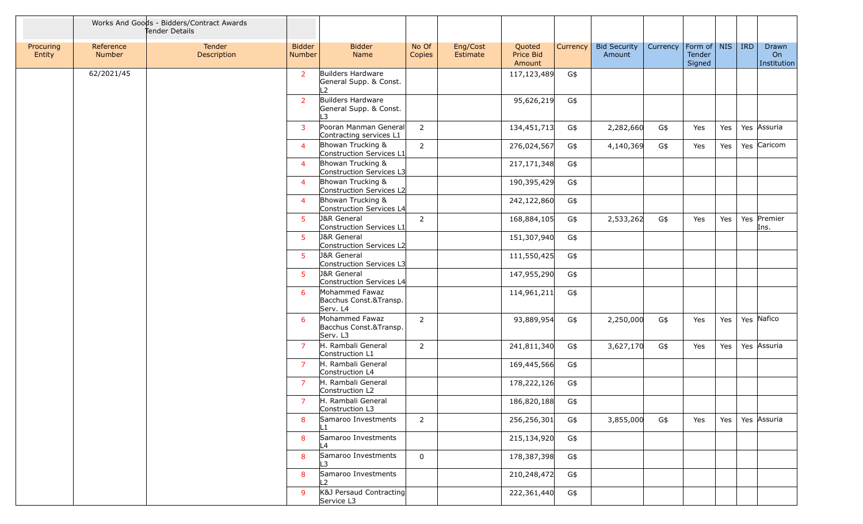|                     |                     | Works And Goods - Bidders/Contract Awards<br>Tender Details |                                |                                                              |                 |                      |                               |          |                               |          |                                         |     |            |                            |
|---------------------|---------------------|-------------------------------------------------------------|--------------------------------|--------------------------------------------------------------|-----------------|----------------------|-------------------------------|----------|-------------------------------|----------|-----------------------------------------|-----|------------|----------------------------|
| Procuring<br>Entity | Reference<br>Number | Tender<br>Description                                       | <b>Bidder</b><br><b>Number</b> | <b>Bidder</b><br>Name                                        | No Of<br>Copies | Eng/Cost<br>Estimate | Quoted<br>Price Bid<br>Amount | Currency | <b>Bid Security</b><br>Amount | Currency | Form of $\vert$ NIS<br>Tender<br>Signed |     | <b>IRD</b> | Drawn<br>On<br>Institution |
|                     | 62/2021/45          |                                                             | $\overline{2}$                 | Builders Hardware<br>General Supp. & Const.<br>$\mathcal{L}$ |                 |                      | 117,123,489                   | G\$      |                               |          |                                         |     |            |                            |
|                     |                     |                                                             | $\overline{2}$                 | Builders Hardware<br>General Supp. & Const.<br>-3            |                 |                      | 95,626,219                    | G\$      |                               |          |                                         |     |            |                            |
|                     |                     |                                                             | 3                              | Pooran Manman General<br>Contracting services L1             | $\overline{2}$  |                      | 134,451,713                   | G\$      | 2,282,660                     | G\$      | Yes                                     | Yes |            | Yes Assuria                |
|                     |                     |                                                             | $\overline{4}$                 | Bhowan Trucking &<br>Construction Services L1                | 2               |                      | 276,024,567                   | G\$      | 4,140,369                     | G\$      | Yes                                     | Yes |            | Yes Caricom                |
|                     |                     |                                                             | $\overline{a}$                 | Bhowan Trucking &<br>Construction Services L3                |                 |                      | 217, 171, 348                 | G\$      |                               |          |                                         |     |            |                            |
|                     |                     |                                                             | $\overline{4}$                 | Bhowan Trucking &<br>Construction Services L2                |                 |                      | 190,395,429                   | G\$      |                               |          |                                         |     |            |                            |
|                     |                     |                                                             | $\overline{4}$                 | Bhowan Trucking &<br>Construction Services L4                |                 |                      | 242,122,860                   | G\$      |                               |          |                                         |     |            |                            |
|                     |                     |                                                             | -5                             | <b>J&amp;R</b> General<br>Construction Services L1           | $\overline{2}$  |                      | 168,884,105                   | G\$      | 2,533,262                     | G\$      | Yes                                     | Yes |            | Yes Premier<br>Ins.        |
|                     |                     |                                                             | 5                              | <b>J&amp;R</b> General<br>Construction Services L2           |                 |                      | 151,307,940                   | G\$      |                               |          |                                         |     |            |                            |
|                     |                     |                                                             | 5                              | <b>J&amp;R</b> General<br>Construction Services L3           |                 |                      | 111,550,425                   | G\$      |                               |          |                                         |     |            |                            |
|                     |                     |                                                             | 5                              | <b>J&amp;R</b> General<br>Construction Services L4           |                 |                      | 147,955,290                   | G\$      |                               |          |                                         |     |            |                            |
|                     |                     |                                                             | 6                              | Mohammed Fawaz<br>Bacchus Const.&Transp.<br>Serv. L4         |                 |                      | 114,961,211                   | G\$      |                               |          |                                         |     |            |                            |
|                     |                     |                                                             | 6                              | Mohammed Fawaz<br>Bacchus Const.&Transp.<br>Serv. L3         | 2               |                      | 93,889,954                    | G\$      | 2,250,000                     | G\$      | Yes                                     | Yes |            | Yes Nafico                 |
|                     |                     |                                                             | $\overline{7}$                 | H. Rambali General<br>Construction L1                        | $\overline{2}$  |                      | 241,811,340                   | G\$      | 3,627,170                     | G\$      | Yes                                     | Yes |            | Yes Assuria                |
|                     |                     |                                                             | $\overline{7}$                 | H. Rambali General<br>Construction L4                        |                 |                      | 169,445,566                   | G\$      |                               |          |                                         |     |            |                            |
|                     |                     |                                                             | $\overline{7}$                 | H. Rambali General<br>Construction L2                        |                 |                      | 178,222,126                   | G\$      |                               |          |                                         |     |            |                            |
|                     |                     |                                                             |                                | H. Rambali General<br>Construction L3                        |                 |                      | 186,820,188                   | G\$      |                               |          |                                         |     |            |                            |
|                     |                     |                                                             | 8                              | Samaroo Investments                                          | 2               |                      | 256,256,301                   | G\$      | 3,855,000                     | G\$      | Yes                                     | Yes |            | Yes Assuria                |
|                     |                     |                                                             | 8                              | Samaroo Investments<br>L4                                    |                 |                      | 215,134,920                   | G\$      |                               |          |                                         |     |            |                            |
|                     |                     |                                                             | 8                              | Samaroo Investments<br>L3                                    | $\mathbf 0$     |                      | 178,387,398                   | G\$      |                               |          |                                         |     |            |                            |
|                     |                     |                                                             | 8                              | Samaroo Investments<br>L2                                    |                 |                      | 210,248,472                   | G\$      |                               |          |                                         |     |            |                            |
|                     |                     |                                                             | -9                             | K&J Persaud Contracting<br>Service L3                        |                 |                      | 222,361,440                   | G\$      |                               |          |                                         |     |            |                            |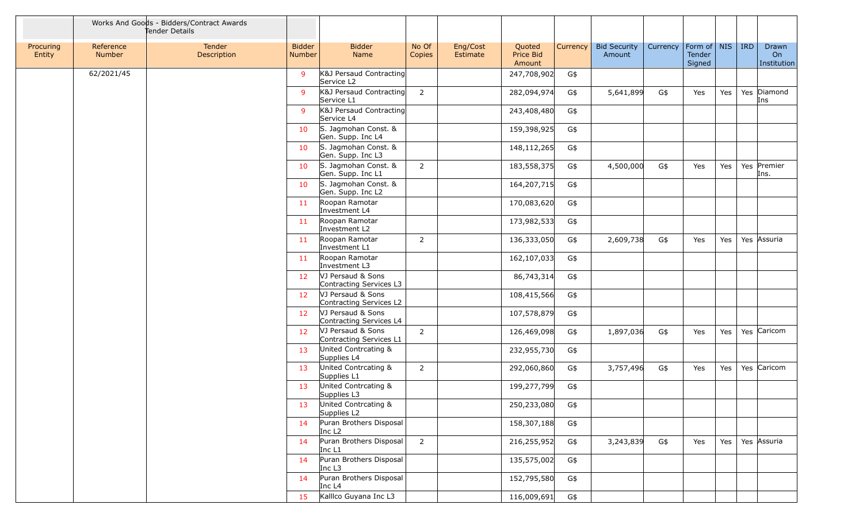|                     |                     | Works And Goods - Bidders/Contract Awards<br>Tender Details |                                |                                               |                 |                      |                               |          |                               |          |                                   |     |            |                            |
|---------------------|---------------------|-------------------------------------------------------------|--------------------------------|-----------------------------------------------|-----------------|----------------------|-------------------------------|----------|-------------------------------|----------|-----------------------------------|-----|------------|----------------------------|
| Procuring<br>Entity | Reference<br>Number | Tender<br>Description                                       | <b>Bidder</b><br><b>Number</b> | <b>Bidder</b><br>Name                         | No Of<br>Copies | Eng/Cost<br>Estimate | Quoted<br>Price Bid<br>Amount | Currency | <b>Bid Security</b><br>Amount | Currency | Form of   NIS<br>Tender<br>Signed |     | <b>IRD</b> | Drawn<br>On<br>Institution |
|                     | 62/2021/45          |                                                             | 9                              | K&J Persaud Contracting<br>Service L2         |                 |                      | 247,708,902                   | G\$      |                               |          |                                   |     |            |                            |
|                     |                     |                                                             | -9                             | K&J Persaud Contracting<br>Service L1         | $\overline{2}$  |                      | 282,094,974                   | G\$      | 5,641,899                     | G\$      | Yes                               | Yes |            | Yes Diamond<br>Ins         |
|                     |                     |                                                             | 9                              | K&J Persaud Contracting<br>Service L4         |                 |                      | 243,408,480                   | G\$      |                               |          |                                   |     |            |                            |
|                     |                     |                                                             | 10                             | S. Jagmohan Const. &<br>Gen. Supp. Inc L4     |                 |                      | 159,398,925                   | G\$      |                               |          |                                   |     |            |                            |
|                     |                     |                                                             | 10                             | S. Jagmohan Const. &<br>Gen. Supp. Inc L3     |                 |                      | 148,112,265                   | G\$      |                               |          |                                   |     |            |                            |
|                     |                     |                                                             | 10                             | S. Jagmohan Const. &<br>Gen. Supp. Inc L1     | 2               |                      | 183,558,375                   | G\$      | 4,500,000                     | G\$      | Yes                               | Yes |            | Yes Premier<br>Ins.        |
|                     |                     |                                                             | 10                             | S. Jagmohan Const. &<br>Gen. Supp. Inc L2     |                 |                      | 164,207,715                   | G\$      |                               |          |                                   |     |            |                            |
|                     |                     |                                                             | 11                             | Roopan Ramotar<br>Investment L4               |                 |                      | 170,083,620                   | G\$      |                               |          |                                   |     |            |                            |
|                     |                     |                                                             | 11                             | Roopan Ramotar<br>Investment L2               |                 |                      | 173,982,533                   | G\$      |                               |          |                                   |     |            |                            |
|                     |                     |                                                             | 11                             | Roopan Ramotar<br>Investment L1               | 2               |                      | 136,333,050                   | G\$      | 2,609,738                     | G\$      | Yes                               | Yes |            | Yes Assuria                |
|                     |                     |                                                             | 11                             | Roopan Ramotar<br>Investment L3               |                 |                      | 162,107,033                   | G\$      |                               |          |                                   |     |            |                            |
|                     |                     |                                                             | 12                             | VJ Persaud & Sons<br>Contracting Services L3  |                 |                      | 86,743,314                    | G\$      |                               |          |                                   |     |            |                            |
|                     |                     |                                                             | 12                             | VJ Persaud & Sons<br>Contracting Services L2  |                 |                      | 108,415,566                   | G\$      |                               |          |                                   |     |            |                            |
|                     |                     |                                                             | 12                             | VJ Persaud & Sons<br>Contracting Services L4  |                 |                      | 107,578,879                   | G\$      |                               |          |                                   |     |            |                            |
|                     |                     |                                                             | 12                             | VJ Persaud & Sons<br>Contracting Services L1  | $\overline{2}$  |                      | 126,469,098                   | G\$      | 1,897,036                     | G\$      | Yes                               | Yes |            | Yes Caricom                |
|                     |                     |                                                             | 13                             | United Contrcating &<br>Supplies L4           |                 |                      | 232,955,730                   | G\$      |                               |          |                                   |     |            |                            |
|                     |                     |                                                             | 13                             | United Contrcating &<br>Supplies L1           | $\overline{2}$  |                      | 292,060,860                   | G\$      | 3,757,496                     | G\$      | Yes                               | Yes |            | Yes Caricom                |
|                     |                     |                                                             | 13                             | United Contrcating &<br>Supplies L3           |                 |                      | 199,277,799                   | G\$      |                               |          |                                   |     |            |                            |
|                     |                     |                                                             | 13                             | United Contrcating &<br>Supplies L2           |                 |                      | 250,233,080                   | G\$      |                               |          |                                   |     |            |                            |
|                     |                     |                                                             | 14                             | Puran Brothers Disposal<br>Inc L <sub>2</sub> |                 |                      | 158,307,188                   | G\$      |                               |          |                                   |     |            |                            |
|                     |                     |                                                             | 14                             | Puran Brothers Disposal<br>Inc L1             | $\overline{2}$  |                      | 216,255,952                   | G\$      | 3,243,839                     | G\$      | Yes                               | Yes |            | Yes Assuria                |
|                     |                     |                                                             | 14                             | Puran Brothers Disposal<br>Inc L3             |                 |                      | 135,575,002                   | G\$      |                               |          |                                   |     |            |                            |
|                     |                     |                                                             | 14                             | Puran Brothers Disposal<br>Inc $L4$           |                 |                      | 152,795,580                   | G\$      |                               |          |                                   |     |            |                            |
|                     |                     |                                                             | 15                             | Kallico Guyana Inc L3                         |                 |                      | 116,009,691                   | G\$      |                               |          |                                   |     |            |                            |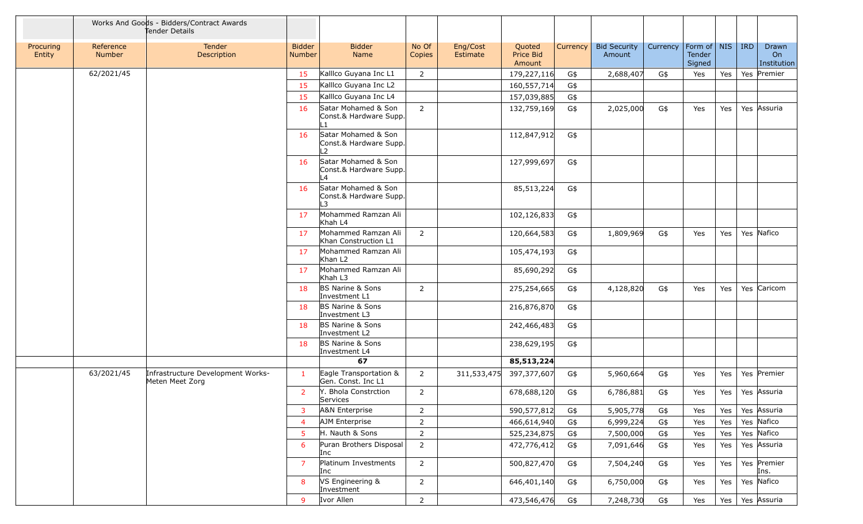|                     |                            | Works And Goods - Bidders/Contract Awards<br>Tender Details |                                |                                                     |                 |                      |                               |          |                               |          |                                 |     |         |                            |
|---------------------|----------------------------|-------------------------------------------------------------|--------------------------------|-----------------------------------------------------|-----------------|----------------------|-------------------------------|----------|-------------------------------|----------|---------------------------------|-----|---------|----------------------------|
| Procuring<br>Entity | Reference<br><b>Number</b> | Tender<br>Description                                       | <b>Bidder</b><br><b>Number</b> | <b>Bidder</b><br>Name                               | No Of<br>Copies | Eng/Cost<br>Estimate | Quoted<br>Price Bid<br>Amount | Currency | <b>Bid Security</b><br>Amount | Currency | Form of NIS<br>Tender<br>Signed |     | $ $ IRD | Drawn<br>On<br>Institution |
|                     | 62/2021/45                 |                                                             | 15                             | Kallico Guyana Inc L1                               | 2               |                      | 179,227,116                   | G\$      | 2,688,407                     | G\$      | Yes                             | Yes | Yes     | Premier                    |
|                     |                            |                                                             | 15                             | Kallico Guyana Inc L2                               |                 |                      | 160,557,714                   | G\$      |                               |          |                                 |     |         |                            |
|                     |                            |                                                             | 15                             | Kallico Guyana Inc L4                               |                 |                      | 157,039,885                   | G\$      |                               |          |                                 |     |         |                            |
|                     |                            |                                                             | 16                             | Satar Mohamed & Son<br>Const.& Hardware Supp.       | $\overline{2}$  |                      | 132,759,169                   | G\$      | 2,025,000                     | G\$      | Yes                             | Yes |         | Yes Assuria                |
|                     |                            |                                                             | 16                             | Satar Mohamed & Son<br>Const.& Hardware Supp.<br>12 |                 |                      | 112,847,912                   | G\$      |                               |          |                                 |     |         |                            |
|                     |                            |                                                             | 16                             | Satar Mohamed & Son<br>Const.& Hardware Supp.<br>L4 |                 |                      | 127,999,697                   | G\$      |                               |          |                                 |     |         |                            |
|                     |                            |                                                             | 16                             | Satar Mohamed & Son<br>Const.& Hardware Supp.<br>L3 |                 |                      | 85,513,224                    | G\$      |                               |          |                                 |     |         |                            |
|                     |                            |                                                             | 17                             | Mohammed Ramzan Ali<br>Khah L4                      |                 |                      | 102,126,833                   | G\$      |                               |          |                                 |     |         |                            |
|                     |                            |                                                             | 17                             | Mohammed Ramzan Ali<br>Khan Construction L1         | $\overline{2}$  |                      | 120,664,583                   | G\$      | 1,809,969                     | G\$      | Yes                             | Yes |         | Yes Nafico                 |
|                     |                            |                                                             | 17                             | Mohammed Ramzan Ali<br>Khan L <sub>2</sub>          |                 |                      | 105,474,193                   | G\$      |                               |          |                                 |     |         |                            |
|                     |                            |                                                             | 17                             | Mohammed Ramzan Ali<br>Khah L3                      |                 |                      | 85,690,292                    | G\$      |                               |          |                                 |     |         |                            |
|                     |                            |                                                             | 18                             | <b>BS Narine &amp; Sons</b><br>Investment L1        | 2               |                      | 275,254,665                   | G\$      | 4,128,820                     | G\$      | Yes                             | Yes |         | Yes Caricom                |
|                     |                            |                                                             | 18                             | BS Narine & Sons<br>Investment L3                   |                 |                      | 216,876,870                   | G\$      |                               |          |                                 |     |         |                            |
|                     |                            |                                                             | 18                             | BS Narine & Sons<br>Investment L2                   |                 |                      | 242,466,483                   | G\$      |                               |          |                                 |     |         |                            |
|                     |                            |                                                             | 18                             | <b>BS Narine &amp; Sons</b><br>Investment L4        |                 |                      | 238,629,195                   | G\$      |                               |          |                                 |     |         |                            |
|                     |                            |                                                             |                                | 67                                                  |                 |                      | 85,513,224                    |          |                               |          |                                 |     |         |                            |
|                     | 63/2021/45                 | Infrastructure Development Works-<br>Meten Meet Zorg        | $\mathbf{1}$                   | Eagle Transportation &<br>Gen. Const. Inc L1        | $\overline{2}$  | 311,533,475          | 397,377,607                   | G\$      | 5,960,664                     | G\$      | Yes                             | Yes |         | Yes Premier                |
|                     |                            |                                                             | $\overline{2}$                 | Y. Bhola Constrction<br>Services                    | $\overline{2}$  |                      | 678,688,120                   | G\$      | 6,786,881                     | G\$      | Yes                             | Yes |         | Yes Assuria                |
|                     |                            |                                                             | 3                              | <b>A&amp;N Enterprise</b>                           | $\overline{2}$  |                      | 590,577,812                   | G\$      | 5,905,778                     | G\$      | Yes                             | Yes |         | Yes Assuria                |
|                     |                            |                                                             | $\overline{4}$                 | AJM Enterprise                                      | $\overline{2}$  |                      | 466,614,940                   | G\$      | 6,999,224                     | G\$      | Yes                             | Yes |         | Yes Nafico                 |
|                     |                            |                                                             | -5                             | H. Nauth & Sons                                     | $\overline{2}$  |                      | 525,234,875                   | G\$      | 7,500,000                     | G\$      | Yes                             | Yes |         | Yes Nafico                 |
|                     |                            |                                                             | 6                              | Puran Brothers Disposal<br>Inc                      | $\overline{2}$  |                      | 472,776,412                   | G\$      | 7,091,646                     | G\$      | Yes                             | Yes |         | Yes Assuria                |
|                     |                            |                                                             | $\overline{7}$                 | Platinum Investments<br>Inc                         | $\overline{2}$  |                      | 500,827,470                   | G\$      | 7,504,240                     | G\$      | Yes                             | Yes |         | Yes Premier<br>Ins.        |
|                     |                            |                                                             | 8                              | VS Engineering &<br>Investment                      | $\overline{2}$  |                      | 646,401,140                   | G\$      | 6,750,000                     | G\$      | Yes                             | Yes |         | Yes Nafico                 |
|                     |                            |                                                             | 9                              | Ivor Allen                                          | $\overline{2}$  |                      | 473,546,476                   | G\$      | 7,248,730                     | G\$      | Yes                             | Yes |         | Yes Assuria                |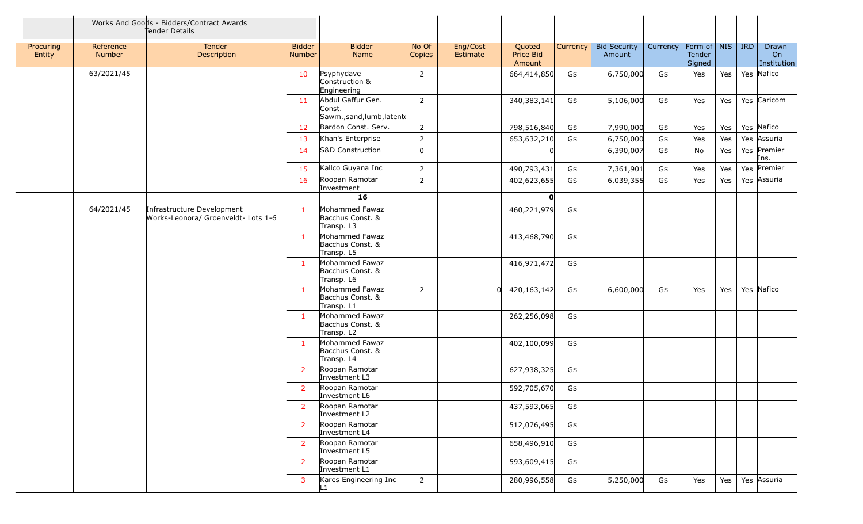|                     |                     | Works And Goods - Bidders/Contract Awards<br>Tender Details       |                                |                                                          |                 |                      |                               |          |                               |          |                                   |     |     |                            |
|---------------------|---------------------|-------------------------------------------------------------------|--------------------------------|----------------------------------------------------------|-----------------|----------------------|-------------------------------|----------|-------------------------------|----------|-----------------------------------|-----|-----|----------------------------|
| Procuring<br>Entity | Reference<br>Number | Tender<br>Description                                             | <b>Bidder</b><br><b>Number</b> | <b>Bidder</b><br>Name                                    | No Of<br>Copies | Eng/Cost<br>Estimate | Quoted<br>Price Bid<br>Amount | Currency | <b>Bid Security</b><br>Amount | Currency | Form of   NIS<br>Tender<br>Signed |     | IRD | Drawn<br>On<br>Institution |
|                     | 63/2021/45          |                                                                   | 10                             | Psyphydave<br>Construction &<br>Engineering              | 2               |                      | 664,414,850                   | G\$      | 6,750,000                     | G\$      | Yes                               | Yes |     | Yes Nafico                 |
|                     |                     |                                                                   | 11                             | Abdul Gaffur Gen.<br>Const.<br>Sawm., sand, lumb, latent | $\overline{2}$  |                      | 340,383,141                   | G\$      | 5,106,000                     | G\$      | Yes                               | Yes |     | Yes Caricom                |
|                     |                     |                                                                   | 12                             | Bardon Const. Serv.                                      | $\overline{2}$  |                      | 798,516,840                   | G\$      | 7,990,000                     | G\$      | Yes                               | Yes |     | Yes Nafico                 |
|                     |                     |                                                                   | 13                             | Khan's Enterprise                                        | $\overline{2}$  |                      | 653,632,210                   | G\$      | 6,750,000                     | G\$      | Yes                               | Yes |     | Yes Assuria                |
|                     |                     |                                                                   | 14                             | <b>S&amp;D Construction</b>                              | $\mathbf 0$     |                      |                               |          | 6,390,007                     | G\$      | No                                | Yes |     | Yes Premier<br>Ins.        |
|                     |                     |                                                                   | 15                             | Kallco Guyana Inc                                        | $\overline{2}$  |                      | 490,793,431                   | G\$      | 7,361,901                     | G\$      | Yes                               | Yes |     | Yes Premier                |
|                     |                     |                                                                   | 16                             | Roopan Ramotar<br>Investment                             | $\overline{2}$  |                      | 402,623,655                   | G\$      | 6,039,355                     | G\$      | Yes                               | Yes |     | Yes Assuria                |
|                     |                     |                                                                   |                                | 16                                                       |                 |                      | O                             |          |                               |          |                                   |     |     |                            |
|                     | 64/2021/45          | Infrastructure Development<br>Works-Leonora/ Groenveldt- Lots 1-6 | -1                             | Mohammed Fawaz<br>Bacchus Const. &<br>Transp. L3         |                 |                      | 460,221,979                   | G\$      |                               |          |                                   |     |     |                            |
|                     |                     |                                                                   | $\mathbf{1}$                   | Mohammed Fawaz<br>Bacchus Const. &<br>Transp. L5         |                 |                      | 413,468,790                   | G\$      |                               |          |                                   |     |     |                            |
|                     |                     |                                                                   | -1                             | Mohammed Fawaz<br>Bacchus Const. &<br>Transp. L6         |                 |                      | 416,971,472                   | G\$      |                               |          |                                   |     |     |                            |
|                     |                     |                                                                   | $\mathbf{1}$                   | Mohammed Fawaz<br>Bacchus Const. &<br>Transp. L1         | 2               | <sup>n</sup>         | 420,163,142                   | G\$      | 6,600,000                     | G\$      | Yes                               | Yes |     | Yes Nafico                 |
|                     |                     |                                                                   | $\mathbf{1}$                   | Mohammed Fawaz<br>Bacchus Const. &<br>Transp. L2         |                 |                      | 262,256,098                   | G\$      |                               |          |                                   |     |     |                            |
|                     |                     |                                                                   | $\mathbf{1}$                   | Mohammed Fawaz<br>Bacchus Const. &<br>Transp. L4         |                 |                      | 402,100,099                   | G\$      |                               |          |                                   |     |     |                            |
|                     |                     |                                                                   | 2                              | Roopan Ramotar<br>Investment L3                          |                 |                      | 627,938,325                   | G\$      |                               |          |                                   |     |     |                            |
|                     |                     |                                                                   | $\overline{2}$                 | Roopan Ramotar<br>Investment L6                          |                 |                      | 592,705,670                   | G\$      |                               |          |                                   |     |     |                            |
|                     |                     |                                                                   | $\overline{2}$                 | Roopan Ramotar<br>Investment L2                          |                 |                      | 437,593,065                   | G\$      |                               |          |                                   |     |     |                            |
|                     |                     |                                                                   | 2                              | Roopan Ramotar<br>Investment L4                          |                 |                      | 512,076,495                   | G\$      |                               |          |                                   |     |     |                            |
|                     |                     |                                                                   | $\overline{2}$                 | Roopan Ramotar<br>Investment L5                          |                 |                      | 658,496,910                   | G\$      |                               |          |                                   |     |     |                            |
|                     |                     |                                                                   | <sup>2</sup>                   | Roopan Ramotar<br>Investment L1                          |                 |                      | 593,609,415                   | G\$      |                               |          |                                   |     |     |                            |
|                     |                     |                                                                   | 3                              | Kares Engineering Inc<br>l 1                             | $\overline{2}$  |                      | 280,996,558                   | G\$      | 5,250,000                     | G\$      | Yes                               | Yes |     | Yes Assuria                |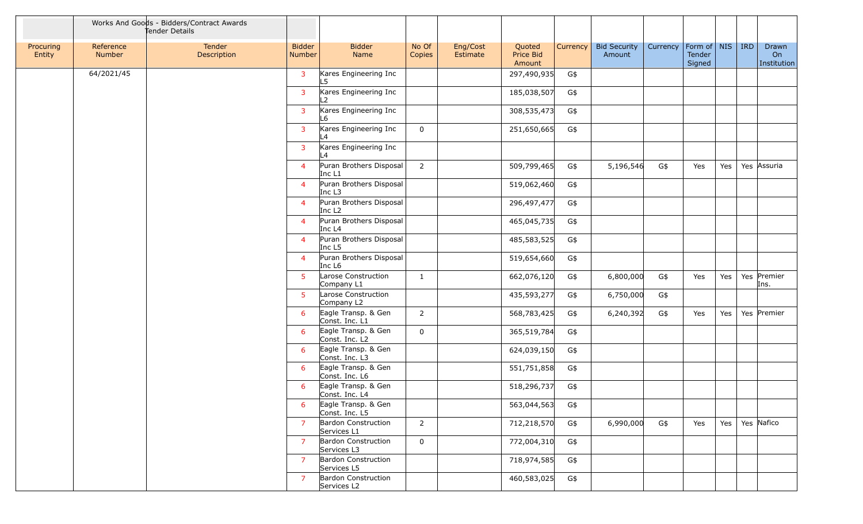|                     |                            | Works And Goods - Bidders/Contract Awards<br>Tender Details |                         |                                               |                 |                      |                               |              |                               |          |                                   |     |            |                            |
|---------------------|----------------------------|-------------------------------------------------------------|-------------------------|-----------------------------------------------|-----------------|----------------------|-------------------------------|--------------|-------------------------------|----------|-----------------------------------|-----|------------|----------------------------|
| Procuring<br>Entity | Reference<br><b>Number</b> | Tender<br>Description                                       | <b>Bidder</b><br>Number | <b>Bidder</b><br>Name                         | No Of<br>Copies | Eng/Cost<br>Estimate | Quoted<br>Price Bid<br>Amount | Currency $ $ | <b>Bid Security</b><br>Amount | Currency | Form of   NIS<br>Tender<br>Signed |     | <b>IRD</b> | Drawn<br>On<br>Institution |
|                     | 64/2021/45                 |                                                             | 3                       | Kares Engineering Inc<br>L5                   |                 |                      | 297,490,935                   | G\$          |                               |          |                                   |     |            |                            |
|                     |                            |                                                             | 3                       | Kares Engineering Inc                         |                 |                      | 185,038,507                   | G\$          |                               |          |                                   |     |            |                            |
|                     |                            |                                                             | 3                       | Kares Engineering Inc<br>L6                   |                 |                      | 308,535,473                   | G\$          |                               |          |                                   |     |            |                            |
|                     |                            |                                                             | 3                       | Kares Engineering Inc<br>$\overline{4}$       | $\mathbf 0$     |                      | 251,650,665                   | G\$          |                               |          |                                   |     |            |                            |
|                     |                            |                                                             | 3                       | Kares Engineering Inc<br>$\vert$ 4            |                 |                      |                               |              |                               |          |                                   |     |            |                            |
|                     |                            |                                                             | $\overline{4}$          | Puran Brothers Disposal<br>Inc L1             | $\overline{2}$  |                      | 509,799,465                   | G\$          | 5,196,546                     | G\$      | Yes                               | Yes |            | Yes Assuria                |
|                     |                            |                                                             | $\overline{4}$          | Puran Brothers Disposal<br>Inc L3             |                 |                      | 519,062,460                   | G\$          |                               |          |                                   |     |            |                            |
|                     |                            |                                                             | $\overline{4}$          | Puran Brothers Disposal<br>Inc L <sub>2</sub> |                 |                      | 296,497,477                   | G\$          |                               |          |                                   |     |            |                            |
|                     |                            |                                                             | $\overline{4}$          | Puran Brothers Disposal<br>Inc L4             |                 |                      | 465,045,735                   | G\$          |                               |          |                                   |     |            |                            |
|                     |                            |                                                             | $\overline{4}$          | Puran Brothers Disposal<br>Inc L5             |                 |                      | 485,583,525                   | G\$          |                               |          |                                   |     |            |                            |
|                     |                            |                                                             | $\overline{4}$          | Puran Brothers Disposal<br>Inc L6             |                 |                      | 519,654,660                   | G\$          |                               |          |                                   |     |            |                            |
|                     |                            |                                                             | 5                       | Larose Construction<br>Company L1             | $\mathbf{1}$    |                      | 662,076,120                   | G\$          | 6,800,000                     | G\$      | Yes                               | Yes |            | Yes Premier<br>Ins.        |
|                     |                            |                                                             | -5                      | Larose Construction<br>Company L2             |                 |                      | 435,593,277                   | G\$          | 6,750,000                     | G\$      |                                   |     |            |                            |
|                     |                            |                                                             | 6                       | Eagle Transp. & Gen<br>Const. Inc. L1         | $\overline{2}$  |                      | 568,783,425                   | G\$          | 6,240,392                     | G\$      | Yes                               | Yes |            | Yes Premier                |
|                     |                            |                                                             | 6                       | Eagle Transp. & Gen<br>Const. Inc. L2         | $\mathbf 0$     |                      | 365,519,784                   | G\$          |                               |          |                                   |     |            |                            |
|                     |                            |                                                             | 6                       | Eagle Transp. & Gen<br>Const. Inc. L3         |                 |                      | 624,039,150                   | G\$          |                               |          |                                   |     |            |                            |
|                     |                            |                                                             | 6                       | Eagle Transp. & Gen<br>Const. Inc. L6         |                 |                      | 551,751,858                   | G\$          |                               |          |                                   |     |            |                            |
|                     |                            |                                                             | 6                       | Eagle Transp. & Gen<br>Const. Inc. L4         |                 |                      | 518,296,737                   | G\$          |                               |          |                                   |     |            |                            |
|                     |                            |                                                             | 6                       | Eagle Transp. & Gen<br>Const. Inc. L5         |                 |                      | 563,044,563                   | G\$          |                               |          |                                   |     |            |                            |
|                     |                            |                                                             | $\overline{7}$          | Bardon Construction<br>Services L1            | $\overline{2}$  |                      | 712,218,570                   | G\$          | 6,990,000                     | G\$      | Yes                               | Yes |            | Yes Nafico                 |
|                     |                            |                                                             | $\overline{7}$          | <b>Bardon Construction</b><br>Services L3     | $\mathbf 0$     |                      | 772,004,310                   | G\$          |                               |          |                                   |     |            |                            |
|                     |                            |                                                             | $\overline{7}$          | Bardon Construction<br>Services L5            |                 |                      | 718,974,585                   | G\$          |                               |          |                                   |     |            |                            |
|                     |                            |                                                             | 7                       | <b>Bardon Construction</b><br>Services L2     |                 |                      | 460,583,025                   | G\$          |                               |          |                                   |     |            |                            |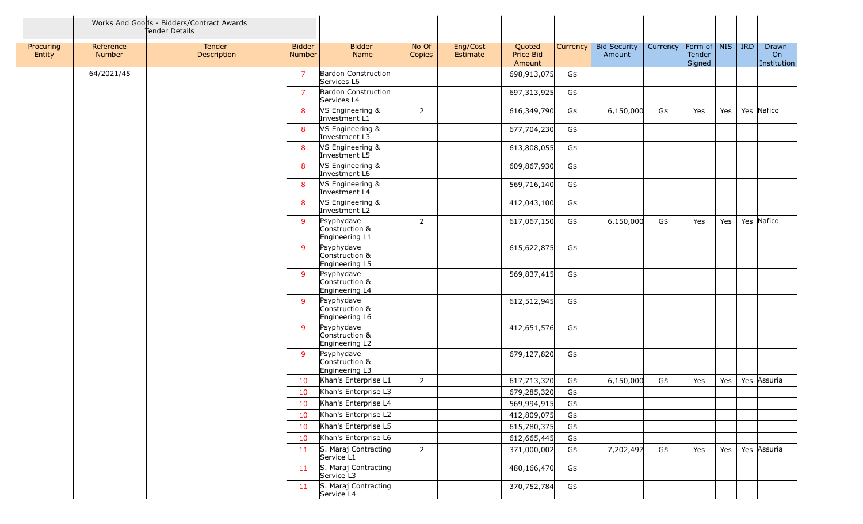|                     |                            | Works And Goods - Bidders/Contract Awards<br>Tender Details |                                |                                                |                 |                      |                               |          |                               |          |                                 |     |            |                            |
|---------------------|----------------------------|-------------------------------------------------------------|--------------------------------|------------------------------------------------|-----------------|----------------------|-------------------------------|----------|-------------------------------|----------|---------------------------------|-----|------------|----------------------------|
| Procuring<br>Entity | Reference<br><b>Number</b> | Tender<br>Description                                       | <b>Bidder</b><br><b>Number</b> | <b>Bidder</b><br>Name                          | No Of<br>Copies | Eng/Cost<br>Estimate | Quoted<br>Price Bid<br>Amount | Currency | <b>Bid Security</b><br>Amount | Currency | Form of NIS<br>Tender<br>Signed |     | <b>IRD</b> | Drawn<br>On<br>Institution |
|                     | 64/2021/45                 |                                                             | $\overline{7}$                 | <b>Bardon Construction</b><br>Services L6      |                 |                      | 698,913,075                   | G\$      |                               |          |                                 |     |            |                            |
|                     |                            |                                                             | $\overline{7}$                 | <b>Bardon Construction</b><br>Services L4      |                 |                      | 697,313,925                   | G\$      |                               |          |                                 |     |            |                            |
|                     |                            |                                                             | 8                              | VS Engineering &<br>Investment L1              | $\overline{2}$  |                      | 616,349,790                   | G\$      | 6,150,000                     | G\$      | Yes                             | Yes |            | Yes Nafico                 |
|                     |                            |                                                             | 8                              | VS Engineering &<br>Investment L3              |                 |                      | 677,704,230                   | G\$      |                               |          |                                 |     |            |                            |
|                     |                            |                                                             | 8                              | VS Engineering &<br>Investment L5              |                 |                      | 613,808,055                   | G\$      |                               |          |                                 |     |            |                            |
|                     |                            |                                                             | 8                              | VS Engineering &<br>Investment L6              |                 |                      | 609,867,930                   | G\$      |                               |          |                                 |     |            |                            |
|                     |                            |                                                             | 8                              | VS Engineering &<br>Investment L4              |                 |                      | 569,716,140                   | G\$      |                               |          |                                 |     |            |                            |
|                     |                            |                                                             | 8                              | VS Engineering &<br>Investment L2              |                 |                      | 412,043,100                   | G\$      |                               |          |                                 |     |            |                            |
|                     |                            |                                                             | -9                             | Psyphydave<br>Construction &<br>Engineering L1 | $\overline{2}$  |                      | 617,067,150                   | G\$      | 6,150,000                     | G\$      | Yes                             | Yes |            | Yes Nafico                 |
|                     |                            |                                                             | -9                             | Psyphydave<br>Construction &<br>Engineering L5 |                 |                      | 615,622,875                   | G\$      |                               |          |                                 |     |            |                            |
|                     |                            |                                                             | -9                             | Psyphydave<br>Construction &<br>Engineering L4 |                 |                      | 569,837,415                   | G\$      |                               |          |                                 |     |            |                            |
|                     |                            |                                                             | -9                             | Psyphydave<br>Construction &<br>Engineering L6 |                 |                      | 612,512,945                   | G\$      |                               |          |                                 |     |            |                            |
|                     |                            |                                                             | 9                              | Psyphydave<br>Construction &<br>Engineering L2 |                 |                      | 412,651,576                   | G\$      |                               |          |                                 |     |            |                            |
|                     |                            |                                                             | -9                             | Psyphydave<br>Construction &<br>Engineering L3 |                 |                      | 679,127,820                   | G\$      |                               |          |                                 |     |            |                            |
|                     |                            |                                                             | 10                             | Khan's Enterprise L1                           | 2               |                      | 617,713,320                   | G\$      | 6,150,000                     | G\$      | Yes                             | Yes |            | Yes Assuria                |
|                     |                            |                                                             | 10                             | Khan's Enterprise L3                           |                 |                      | 679,285,320                   | G\$      |                               |          |                                 |     |            |                            |
|                     |                            |                                                             | 10                             | Khan's Enterprise L4                           |                 |                      | 569,994,915                   | G\$      |                               |          |                                 |     |            |                            |
|                     |                            |                                                             | 10                             | Khan's Enterprise L2                           |                 |                      | 412,809,075                   | G\$      |                               |          |                                 |     |            |                            |
|                     |                            |                                                             | 10                             | Khan's Enterprise L5                           |                 |                      | 615,780,375                   | G\$      |                               |          |                                 |     |            |                            |
|                     |                            |                                                             | 10                             | Khan's Enterprise L6                           |                 |                      | 612,665,445                   | G\$      |                               |          |                                 |     |            |                            |
|                     |                            |                                                             | 11                             | S. Maraj Contracting<br>Service L1             | $\overline{2}$  |                      | 371,000,002                   | G\$      | 7,202,497                     | G\$      | Yes                             | Yes |            | Yes Assuria                |
|                     |                            |                                                             | 11                             | S. Maraj Contracting<br>Service L3             |                 |                      | 480,166,470                   | G\$      |                               |          |                                 |     |            |                            |
|                     |                            |                                                             | 11                             | S. Maraj Contracting<br>Service L4             |                 |                      | 370,752,784                   | G\$      |                               |          |                                 |     |            |                            |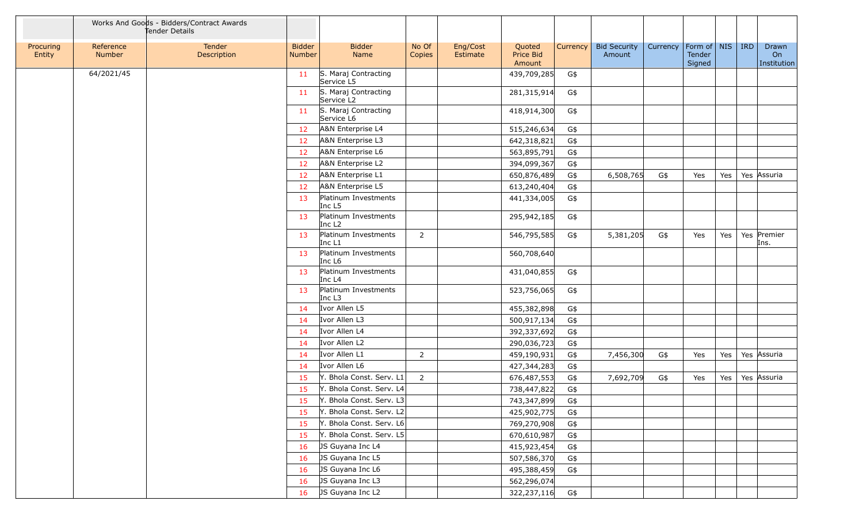|                     |                            | Works And Goods - Bidders/Contract Awards<br>Tender Details |                                |                                                |                 |                      |                               |              |                               |          |                                   |     |            |                            |
|---------------------|----------------------------|-------------------------------------------------------------|--------------------------------|------------------------------------------------|-----------------|----------------------|-------------------------------|--------------|-------------------------------|----------|-----------------------------------|-----|------------|----------------------------|
| Procuring<br>Entity | Reference<br><b>Number</b> | Tender<br>Description                                       | <b>Bidder</b><br><b>Number</b> | <b>Bidder</b><br>Name                          | No Of<br>Copies | Eng/Cost<br>Estimate | Quoted<br>Price Bid<br>Amount | Currency $ $ | <b>Bid Security</b><br>Amount | Currency | Form of   NIS<br>Tender<br>Signed |     | <b>IRD</b> | Drawn<br>On<br>Institution |
|                     | 64/2021/45                 |                                                             | 11                             | S. Maraj Contracting<br>Service L5             |                 |                      | 439,709,285                   | G\$          |                               |          |                                   |     |            |                            |
|                     |                            |                                                             | 11                             | S. Maraj Contracting<br>Service L <sub>2</sub> |                 |                      | 281,315,914                   | G\$          |                               |          |                                   |     |            |                            |
|                     |                            |                                                             | 11                             | S. Maraj Contracting<br>Service L6             |                 |                      | 418,914,300                   | G\$          |                               |          |                                   |     |            |                            |
|                     |                            |                                                             | 12                             | A&N Enterprise L4                              |                 |                      | 515,246,634                   | G\$          |                               |          |                                   |     |            |                            |
|                     |                            |                                                             | 12                             | A&N Enterprise L3                              |                 |                      | 642,318,821                   | G\$          |                               |          |                                   |     |            |                            |
|                     |                            |                                                             | 12                             | A&N Enterprise L6                              |                 |                      | 563,895,791                   | G\$          |                               |          |                                   |     |            |                            |
|                     |                            |                                                             | 12                             | A&N Enterprise L2                              |                 |                      | 394,099,367                   | G\$          |                               |          |                                   |     |            |                            |
|                     |                            |                                                             | 12                             | A&N Enterprise L1                              |                 |                      | 650,876,489                   | G\$          | 6,508,765                     | G\$      | Yes                               | Yes |            | Yes Assuria                |
|                     |                            |                                                             | 12                             | A&N Enterprise L5                              |                 |                      | 613,240,404                   | G\$          |                               |          |                                   |     |            |                            |
|                     |                            |                                                             | 13                             | Platinum Investments<br>Inc L5                 |                 |                      | 441,334,005                   | G\$          |                               |          |                                   |     |            |                            |
|                     |                            |                                                             | 13                             | Platinum Investments<br>Inc L <sub>2</sub>     |                 |                      | 295,942,185                   | G\$          |                               |          |                                   |     |            |                            |
|                     |                            |                                                             | 13                             | Platinum Investments<br>Inc L1                 | $\overline{2}$  |                      | 546,795,585                   | G\$          | 5,381,205                     | G\$      | Yes                               | Yes |            | Yes Premier<br>Ins.        |
|                     |                            |                                                             | 13                             | Platinum Investments<br>Inc L <sub>6</sub>     |                 |                      | 560,708,640                   |              |                               |          |                                   |     |            |                            |
|                     |                            |                                                             | 13                             | Platinum Investments<br>Inc L4                 |                 |                      | 431,040,855                   | G\$          |                               |          |                                   |     |            |                            |
|                     |                            |                                                             | 13                             | Platinum Investments<br>Inc L3                 |                 |                      | 523,756,065                   | G\$          |                               |          |                                   |     |            |                            |
|                     |                            |                                                             | 14                             | Ivor Allen L5                                  |                 |                      | 455,382,898                   | G\$          |                               |          |                                   |     |            |                            |
|                     |                            |                                                             | 14                             | Ivor Allen L3                                  |                 |                      | 500,917,134                   | G\$          |                               |          |                                   |     |            |                            |
|                     |                            |                                                             | 14                             | Ivor Allen L4                                  |                 |                      | 392,337,692                   | G\$          |                               |          |                                   |     |            |                            |
|                     |                            |                                                             | 14                             | Ivor Allen L2                                  |                 |                      | 290,036,723                   | G\$          |                               |          |                                   |     |            |                            |
|                     |                            |                                                             | 14                             | Ivor Allen L1                                  | $\overline{2}$  |                      | 459,190,931                   | G\$          | 7,456,300                     | G\$      | Yes                               | Yes |            | Yes Assuria                |
|                     |                            |                                                             | 14                             | Ivor Allen L6                                  |                 |                      | 427,344,283                   | G\$          |                               |          |                                   |     |            |                            |
|                     |                            |                                                             | 15                             | Y. Bhola Const. Serv. L1                       | $\overline{2}$  |                      | 676,487,553                   | G\$          | 7,692,709                     | G\$      | Yes                               | Yes |            | Yes Assuria                |
|                     |                            |                                                             | 15                             | Y. Bhola Const. Serv. L4                       |                 |                      | 738,447,822                   | G\$          |                               |          |                                   |     |            |                            |
|                     |                            |                                                             | 15                             | Y. Bhola Const. Serv. L3                       |                 |                      | 743,347,899                   | G\$          |                               |          |                                   |     |            |                            |
|                     |                            |                                                             | 15                             | Y. Bhola Const. Serv. L2                       |                 |                      | 425,902,775                   | G\$          |                               |          |                                   |     |            |                            |
|                     |                            |                                                             | 15                             | Y. Bhola Const. Serv. L6                       |                 |                      | 769,270,908                   | G\$          |                               |          |                                   |     |            |                            |
|                     |                            |                                                             | 15                             | Y. Bhola Const. Serv. L5                       |                 |                      | 670,610,987                   | G\$          |                               |          |                                   |     |            |                            |
|                     |                            |                                                             | 16                             | JS Guyana Inc L4                               |                 |                      | 415,923,454                   | G\$          |                               |          |                                   |     |            |                            |
|                     |                            |                                                             | 16                             | JS Guyana Inc L5                               |                 |                      | 507,586,370                   | G\$          |                               |          |                                   |     |            |                            |
|                     |                            |                                                             | 16                             | JS Guyana Inc L6                               |                 |                      | 495,388,459                   | G\$          |                               |          |                                   |     |            |                            |
|                     |                            |                                                             | 16                             | JS Guyana Inc L3                               |                 |                      | 562,296,074                   |              |                               |          |                                   |     |            |                            |
|                     |                            |                                                             | 16                             | JS Guyana Inc L2                               |                 |                      | 322,237,116                   | G\$          |                               |          |                                   |     |            |                            |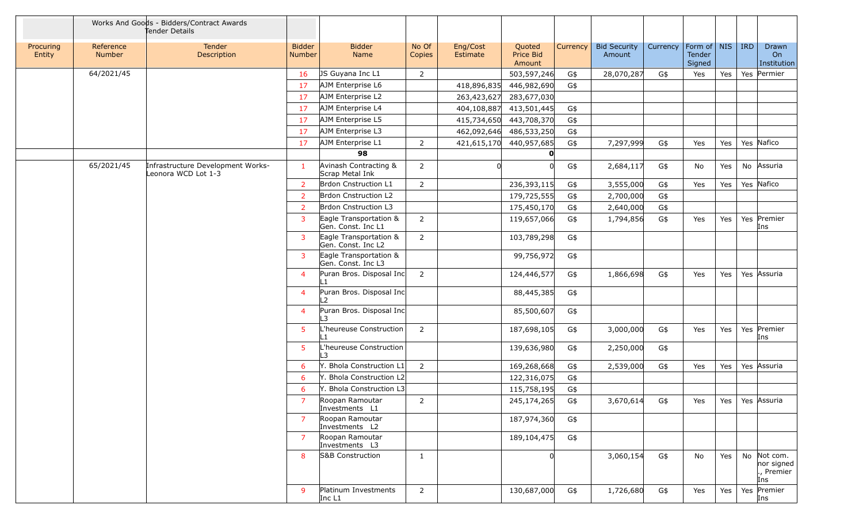|                     |                            | Works And Goods - Bidders/Contract Awards<br>Tender Details |                                |                                              |                 |                      |                                           |                               |          |                                   |     |            |                                                |
|---------------------|----------------------------|-------------------------------------------------------------|--------------------------------|----------------------------------------------|-----------------|----------------------|-------------------------------------------|-------------------------------|----------|-----------------------------------|-----|------------|------------------------------------------------|
| Procuring<br>Entity | Reference<br><b>Number</b> | Tender<br>Description                                       | <b>Bidder</b><br><b>Number</b> | <b>Bidder</b><br>Name                        | No Of<br>Copies | Eng/Cost<br>Estimate | Quoted<br>Currency<br>Price Bid<br>Amount | <b>Bid Security</b><br>Amount | Currency | Form of   NIS<br>Tender<br>Signed |     | <b>IRD</b> | Drawn<br>On<br>Institution                     |
|                     | 64/2021/45                 |                                                             | 16                             | JS Guyana Inc L1                             | 2               |                      | 503,597,246<br>G\$                        | 28,070,287                    | G\$      | Yes                               | Yes |            | Yes Permier                                    |
|                     |                            |                                                             | 17                             | AJM Enterprise L6                            |                 | 418,896,835          | 446,982,690<br>G\$                        |                               |          |                                   |     |            |                                                |
|                     |                            |                                                             | 17                             | AJM Enterprise L2                            |                 | 263,423,627          | 283,677,030                               |                               |          |                                   |     |            |                                                |
|                     |                            |                                                             | 17                             | AJM Enterprise L4                            |                 | 404,108,887          | 413,501,445<br>G\$                        |                               |          |                                   |     |            |                                                |
|                     |                            |                                                             | 17                             | AJM Enterprise L5                            |                 | 415,734,650          | 443,708,370<br>G\$                        |                               |          |                                   |     |            |                                                |
|                     |                            |                                                             | 17                             | AJM Enterprise L3                            |                 |                      | 462,092,646 486,533,250<br>G\$            |                               |          |                                   |     |            |                                                |
|                     |                            |                                                             | 17                             | AJM Enterprise L1                            | $\overline{2}$  | 421,615,170          | 440,957,685<br>G\$                        | 7,297,999                     | G\$      | Yes                               | Yes |            | Yes Nafico                                     |
|                     |                            |                                                             |                                | 98                                           |                 |                      |                                           |                               |          |                                   |     |            |                                                |
|                     | 65/2021/45                 | Infrastructure Development Works-<br>Leonora WCD Lot 1-3    | -1                             | Avinash Contracting &<br>Scrap Metal Ink     | $\overline{2}$  | <sub>0</sub>         | G\$                                       | 2,684,117                     | G\$      | No                                | Yes |            | No Assuria                                     |
|                     |                            |                                                             | 2                              | Brdon Cnstruction L1                         | 2               |                      | 236,393,115<br>G\$                        | 3,555,000                     | G\$      | Yes                               | Yes |            | Yes Nafico                                     |
|                     |                            |                                                             | 2                              | Brdon Cnstruction L2                         |                 |                      | 179,725,555<br>G\$                        | 2,700,000                     | G\$      |                                   |     |            |                                                |
|                     |                            |                                                             | 2                              | Brdon Cnstruction L3                         |                 |                      | 175,450,170<br>G\$                        | 2,640,000                     | G\$      |                                   |     |            |                                                |
|                     |                            |                                                             | 3                              | Eagle Transportation &<br>Gen. Const. Inc L1 | $\overline{2}$  |                      | 119,657,066<br>G\$                        | 1,794,856                     | G\$      | Yes                               | Yes |            | Yes Premier<br>Ins                             |
|                     |                            |                                                             | 3                              | Eagle Transportation &<br>Gen. Const. Inc L2 | $\overline{2}$  |                      | 103,789,298<br>G\$                        |                               |          |                                   |     |            |                                                |
|                     |                            |                                                             | 3                              | Eagle Transportation &<br>Gen. Const. Inc L3 |                 |                      | 99,756,972<br>G\$                         |                               |          |                                   |     |            |                                                |
|                     |                            |                                                             | $\overline{4}$                 | Puran Bros. Disposal Inc<br>$\mathbf{1}$     | 2               |                      | 124,446,577<br>G\$                        | 1,866,698                     | G\$      | Yes                               | Yes |            | Yes Assuria                                    |
|                     |                            |                                                             | $\overline{4}$                 | Puran Bros. Disposal Inc<br>2                |                 |                      | 88,445,385<br>G\$                         |                               |          |                                   |     |            |                                                |
|                     |                            |                                                             | $\overline{4}$                 | Puran Bros. Disposal Inc<br>.3               |                 |                      | 85,500,607<br>G\$                         |                               |          |                                   |     |            |                                                |
|                     |                            |                                                             | $5\phantom{.0}$                | heureuse Construction                        | $\overline{2}$  |                      | 187,698,105<br>G\$                        | 3,000,000                     | G\$      | Yes                               | Yes |            | Yes Premier<br>Ins                             |
|                     |                            |                                                             | $5\phantom{.0}$                | heureuse Construction<br>$\mathbf{z}$        |                 |                      | 139,636,980<br>G\$                        | 2,250,000                     | G\$      |                                   |     |            |                                                |
|                     |                            |                                                             | 6                              | . Bhola Construction L1                      | $\overline{2}$  |                      | 169,268,668<br>G\$                        | 2,539,000                     | G\$      | Yes                               | Yes |            | Yes Assuria                                    |
|                     |                            |                                                             | 6                              | <b>Bhola Construction L2</b>                 |                 |                      | 122,316,075<br>G\$                        |                               |          |                                   |     |            |                                                |
|                     |                            |                                                             | 6                              | . Bhola Construction L3                      |                 |                      | 115,758,195<br>G\$                        |                               |          |                                   |     |            |                                                |
|                     |                            |                                                             |                                | Roopan Ramoutar<br>Investments L1            | 2               |                      | 245,174,265<br>G\$                        | 3,670,614                     | G\$      | Yes                               |     |            | Yes   Yes   Assuria                            |
|                     |                            |                                                             | $\overline{7}$                 | Roopan Ramoutar<br>Investments L2            |                 |                      | 187,974,360<br>G\$                        |                               |          |                                   |     |            |                                                |
|                     |                            |                                                             | 7                              | Roopan Ramoutar<br>Investments L3            |                 |                      | 189,104,475<br>G\$                        |                               |          |                                   |     |            |                                                |
|                     |                            |                                                             | 8                              | S&B Construction                             | $\mathbf{1}$    |                      |                                           | 3,060,154                     | G\$      | No                                | Yes |            | No Not com.<br>nor signed<br>., Premier<br>Ins |
|                     |                            |                                                             | 9                              | Platinum Investments<br>Inc L1               | $\overline{2}$  |                      | 130,687,000<br>G\$                        | 1,726,680                     | G\$      | Yes                               | Yes |            | Yes Premier<br>Ins                             |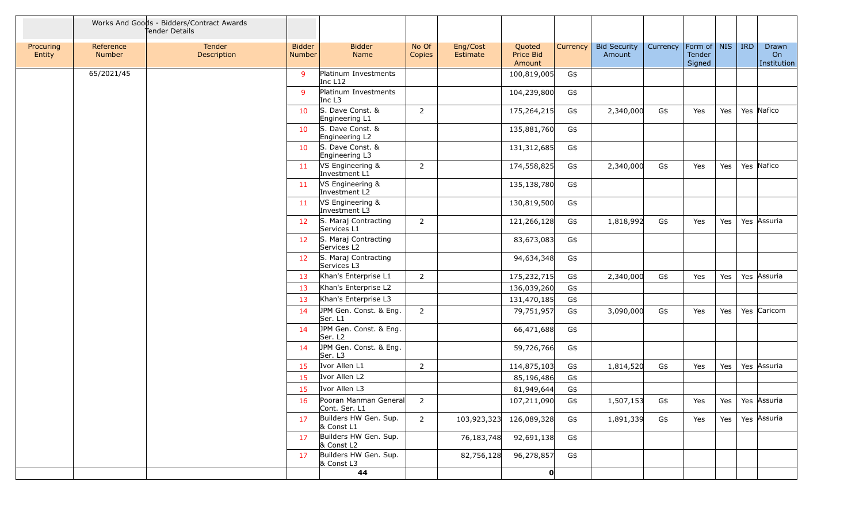|                     |                            | Works And Goods - Bidders/Contract Awards<br>Tender Details |                                |                                                  |                 |                      |                               |          |                               |          |                                   |     |            |                            |
|---------------------|----------------------------|-------------------------------------------------------------|--------------------------------|--------------------------------------------------|-----------------|----------------------|-------------------------------|----------|-------------------------------|----------|-----------------------------------|-----|------------|----------------------------|
| Procuring<br>Entity | Reference<br><b>Number</b> | Tender<br>Description                                       | <b>Bidder</b><br><b>Number</b> | <b>Bidder</b><br>Name                            | No Of<br>Copies | Eng/Cost<br>Estimate | Quoted<br>Price Bid<br>Amount | Currency | <b>Bid Security</b><br>Amount | Currency | Form of   NIS<br>Tender<br>Signed |     | <b>IRD</b> | Drawn<br>On<br>Institution |
|                     | 65/2021/45                 |                                                             | 9                              | Platinum Investments<br>Inc L12                  |                 |                      | 100,819,005                   | G\$      |                               |          |                                   |     |            |                            |
|                     |                            |                                                             | 9                              | Platinum Investments<br>Inc L <sub>3</sub>       |                 |                      | 104,239,800                   | G\$      |                               |          |                                   |     |            |                            |
|                     |                            |                                                             | 10                             | S. Dave Const. &<br>Engineering L1               | $\overline{2}$  |                      | 175,264,215                   | G\$      | 2,340,000                     | G\$      | Yes                               | Yes |            | Yes Nafico                 |
|                     |                            |                                                             | 10                             | S. Dave Const. &<br>Engineering L2               |                 |                      | 135,881,760                   | G\$      |                               |          |                                   |     |            |                            |
|                     |                            |                                                             | 10                             | S. Dave Const. &<br>Engineering L3               |                 |                      | 131,312,685                   | G\$      |                               |          |                                   |     |            |                            |
|                     |                            |                                                             | 11                             | VS Engineering &<br>Investment L1                | 2               |                      | 174,558,825                   | G\$      | 2,340,000                     | G\$      | Yes                               | Yes |            | Yes Nafico                 |
|                     |                            |                                                             | 11                             | VS Engineering &<br>Investment L2                |                 |                      | 135,138,780                   | G\$      |                               |          |                                   |     |            |                            |
|                     |                            |                                                             | 11                             | VS Engineering &<br>Investment L3                |                 |                      | 130,819,500                   | G\$      |                               |          |                                   |     |            |                            |
|                     |                            |                                                             | 12                             | S. Maraj Contracting<br>Services L1              | $\overline{2}$  |                      | 121,266,128                   | G\$      | 1,818,992                     | G\$      | Yes                               | Yes |            | Yes Assuria                |
|                     |                            |                                                             | 12                             | S. Maraj Contracting<br>Services L2              |                 |                      | 83,673,083                    | G\$      |                               |          |                                   |     |            |                            |
|                     |                            |                                                             | 12                             | S. Maraj Contracting<br>Services L3              |                 |                      | 94,634,348                    | G\$      |                               |          |                                   |     |            |                            |
|                     |                            |                                                             | 13                             | Khan's Enterprise L1                             | $\overline{2}$  |                      | 175,232,715                   | G\$      | 2,340,000                     | G\$      | Yes                               | Yes |            | Yes Assuria                |
|                     |                            |                                                             | 13                             | Khan's Enterprise L2                             |                 |                      | 136,039,260                   | G\$      |                               |          |                                   |     |            |                            |
|                     |                            |                                                             | 13                             | Khan's Enterprise L3                             |                 |                      | 131,470,185                   | G\$      |                               |          |                                   |     |            |                            |
|                     |                            |                                                             | 14                             | JPM Gen. Const. & Eng.<br>Ser. L1                | 2               |                      | 79,751,957                    | G\$      | 3,090,000                     | G\$      | Yes                               | Yes |            | Yes Caricom                |
|                     |                            |                                                             | 14                             | JPM Gen. Const. & Eng.<br>Ser. L <sub>2</sub>    |                 |                      | 66,471,688                    | G\$      |                               |          |                                   |     |            |                            |
|                     |                            |                                                             | 14                             | JPM Gen. Const. & Eng.<br>Ser. L3                |                 |                      | 59,726,766                    | G\$      |                               |          |                                   |     |            |                            |
|                     |                            |                                                             | 15                             | Ivor Allen L1                                    | 2               |                      | 114,875,103                   | G\$      | 1,814,520                     | G\$      | Yes                               | Yes |            | Yes Assuria                |
|                     |                            |                                                             | 15                             | Ivor Allen L2                                    |                 |                      | 85,196,486                    | G\$      |                               |          |                                   |     |            |                            |
|                     |                            |                                                             | 15                             | Ivor Allen L3                                    |                 |                      | 81,949,644                    | G\$      |                               |          |                                   |     |            |                            |
|                     |                            |                                                             | 16                             | Pooran Manman General $\vert$ 2<br>Cont. Ser. L1 |                 |                      | 107,211,090                   | G\$      | 1,507,153                     | G\$      | Yes                               |     |            | Yes   Yes Assuria          |
|                     |                            |                                                             | 17                             | Builders HW Gen. Sup.<br>& Const L1              | $\overline{2}$  |                      | 103,923,323 126,089,328       | G\$      | 1,891,339                     | G\$      | Yes                               | Yes |            | Yes Assuria                |
|                     |                            |                                                             | 17                             | Builders HW Gen. Sup.<br>& Const L2              |                 | 76,183,748           | 92,691,138                    | G\$      |                               |          |                                   |     |            |                            |
|                     |                            |                                                             | 17                             | Builders HW Gen. Sup.<br>& Const L3              |                 | 82,756,128           | 96,278,857                    | G\$      |                               |          |                                   |     |            |                            |
|                     |                            |                                                             |                                | 44                                               |                 |                      | $\mathbf{O}$                  |          |                               |          |                                   |     |            |                            |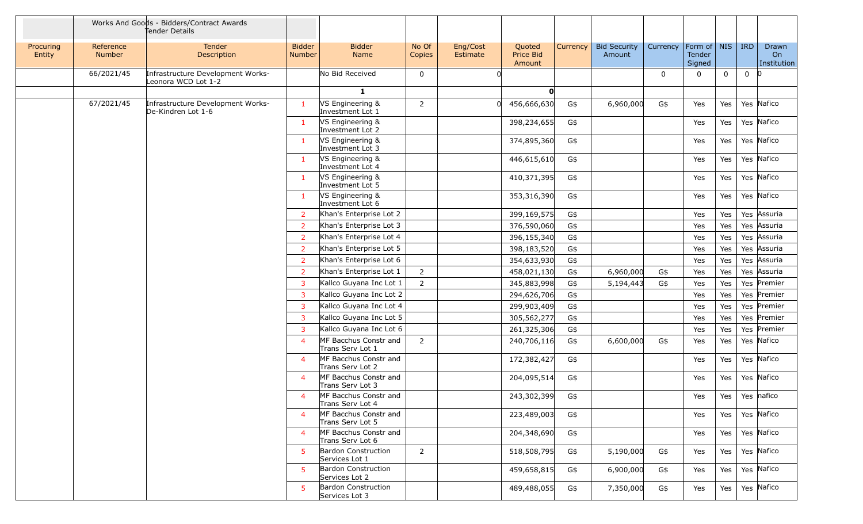|                     |                     | Works And Goods - Bidders/Contract Awards<br>Tender Details |                                |                                              |                 |                      |                               |          |                               |             |                                   |             |              |                            |
|---------------------|---------------------|-------------------------------------------------------------|--------------------------------|----------------------------------------------|-----------------|----------------------|-------------------------------|----------|-------------------------------|-------------|-----------------------------------|-------------|--------------|----------------------------|
| Procuring<br>Entity | Reference<br>Number | <b>Tender</b><br>Description                                | <b>Bidder</b><br><b>Number</b> | <b>Bidder</b><br>Name                        | No Of<br>Copies | Eng/Cost<br>Estimate | Quoted<br>Price Bid<br>Amount | Currency | <b>Bid Security</b><br>Amount | Currency    | Form of   NIS<br>Tender<br>Signed |             | <b>IRD</b>   | Drawn<br>On<br>Institution |
|                     | 66/2021/45          | Infrastructure Development Works-<br>Leonora WCD Lot 1-2    |                                | No Bid Received                              | $\mathbf 0$     |                      |                               |          |                               | $\mathbf 0$ | $\mathbf{0}$                      | $\mathbf 0$ | $\mathbf{0}$ | 10                         |
|                     |                     |                                                             |                                | $\mathbf{1}$                                 |                 |                      | O                             |          |                               |             |                                   |             |              |                            |
|                     | 67/2021/45          | Infrastructure Development Works-<br>De-Kindren Lot 1-6     | -1                             | VS Engineering &<br>Investment Lot 1         | $\overline{2}$  |                      | 456,666,630                   | G\$      | 6,960,000                     | G\$         | Yes                               | Yes         |              | Yes Nafico                 |
|                     |                     |                                                             | $\mathbf{1}$                   | VS Engineering &<br>Investment Lot 2         |                 |                      | 398,234,655                   | G\$      |                               |             | Yes                               | Yes         |              | Yes Nafico                 |
|                     |                     |                                                             | $\mathbf{1}$                   | VS Engineering &<br>Investment Lot 3         |                 |                      | 374,895,360                   | G\$      |                               |             | Yes                               | Yes         |              | Yes Nafico                 |
|                     |                     |                                                             | -1                             | VS Engineering &<br>Investment Lot 4         |                 |                      | 446,615,610                   | G\$      |                               |             | Yes                               | Yes         |              | Yes Nafico                 |
|                     |                     |                                                             | $\mathbf{1}$                   | VS Engineering &<br>Investment Lot 5         |                 |                      | 410,371,395                   | G\$      |                               |             | Yes                               | Yes         |              | Yes Nafico                 |
|                     |                     |                                                             | $\mathbf{1}$                   | VS Engineering &<br>Investment Lot 6         |                 |                      | 353,316,390                   | G\$      |                               |             | Yes                               | Yes         |              | Yes Nafico                 |
|                     |                     |                                                             | <sup>2</sup>                   | Khan's Enterprise Lot 2                      |                 |                      | 399,169,575                   | G\$      |                               |             | Yes                               | Yes         |              | Yes Assuria                |
|                     |                     |                                                             | $\overline{2}$                 | Khan's Enterprise Lot 3                      |                 |                      | 376,590,060                   | G\$      |                               |             | Yes                               | Yes         |              | Yes Assuria                |
|                     |                     |                                                             | 2                              | Khan's Enterprise Lot 4                      |                 |                      | 396,155,340                   | G\$      |                               |             | Yes                               | Yes         |              | Yes Assuria                |
|                     |                     |                                                             | $\overline{2}$                 | Khan's Enterprise Lot 5                      |                 |                      | 398,183,520                   | G\$      |                               |             | Yes                               | Yes         |              | Yes Assuria                |
|                     |                     |                                                             | 2                              | Khan's Enterprise Lot 6                      |                 |                      | 354,633,930                   | G\$      |                               |             | Yes                               | Yes         |              | Yes Assuria                |
|                     |                     |                                                             | $\overline{2}$                 | Khan's Enterprise Lot 1                      | $\overline{2}$  |                      | 458,021,130                   | G\$      | 6,960,000                     | G\$         | Yes                               | Yes         |              | Yes Assuria                |
|                     |                     |                                                             | 3                              | Kallco Guyana Inc Lot 1                      | $\overline{2}$  |                      | 345,883,998                   | G\$      | 5,194,443                     | G\$         | Yes                               | Yes         |              | Yes Premier                |
|                     |                     |                                                             | 3                              | Kallco Guyana Inc Lot 2                      |                 |                      | 294,626,706                   | G\$      |                               |             | Yes                               | Yes         |              | Yes Premier                |
|                     |                     |                                                             | $\overline{3}$                 | Kallco Guyana Inc Lot 4                      |                 |                      | 299,903,409                   | G\$      |                               |             | Yes                               | Yes         |              | Yes Premier                |
|                     |                     |                                                             | $\overline{3}$                 | Kallco Guyana Inc Lot 5                      |                 |                      | 305,562,277                   | G\$      |                               |             | Yes                               | Yes         |              | Yes Premier                |
|                     |                     |                                                             | $\overline{3}$                 | Kallco Guyana Inc Lot 6                      |                 |                      | 261,325,306                   | G\$      |                               |             | Yes                               | Yes         |              | Yes Premier                |
|                     |                     |                                                             | $\overline{4}$                 | MF Bacchus Constr and<br>Trans Serv Lot 1    | $\overline{2}$  |                      | 240,706,116                   | G\$      | 6,600,000                     | G\$         | Yes                               | Yes         |              | Yes Nafico                 |
|                     |                     |                                                             | $\overline{4}$                 | MF Bacchus Constr and<br>Trans Serv Lot 2    |                 |                      | 172,382,427                   | G\$      |                               |             | Yes                               | Yes         |              | Yes Nafico                 |
|                     |                     |                                                             | $\overline{4}$                 | MF Bacchus Constr and<br>Trans Serv Lot 3    |                 |                      | 204,095,514                   | G\$      |                               |             | Yes                               | Yes         |              | Yes Nafico                 |
|                     |                     |                                                             | $\overline{4}$                 | MF Bacchus Constr and<br>Trans Serv Lot 4    |                 |                      | 243,302,399                   | G\$      |                               |             | Yes                               | Yes         |              | Yes nafico                 |
|                     |                     |                                                             | $\overline{a}$                 | MF Bacchus Constr and<br>Trans Serv Lot 5    |                 |                      | 223,489,003                   | G\$      |                               |             | Yes                               | Yes         |              | Yes Nafico                 |
|                     |                     |                                                             | $\overline{4}$                 | MF Bacchus Constr and<br>Trans Serv Lot 6    |                 |                      | 204,348,690                   | G\$      |                               |             | Yes                               | Yes         |              | Yes Nafico                 |
|                     |                     |                                                             | -5                             | Bardon Construction<br>Services Lot 1        | $\overline{2}$  |                      | 518,508,795                   | G\$      | 5,190,000                     | G\$         | Yes                               | Yes         |              | Yes Nafico                 |
|                     |                     |                                                             | -5                             | <b>Bardon Construction</b><br>Services Lot 2 |                 |                      | 459,658,815                   | G\$      | 6,900,000                     | G\$         | Yes                               | Yes         |              | Yes Nafico                 |
|                     |                     |                                                             | -5.                            | <b>Bardon Construction</b><br>Services Lot 3 |                 |                      | 489,488,055                   | G\$      | 7,350,000                     | G\$         | Yes                               | Yes         |              | Yes Nafico                 |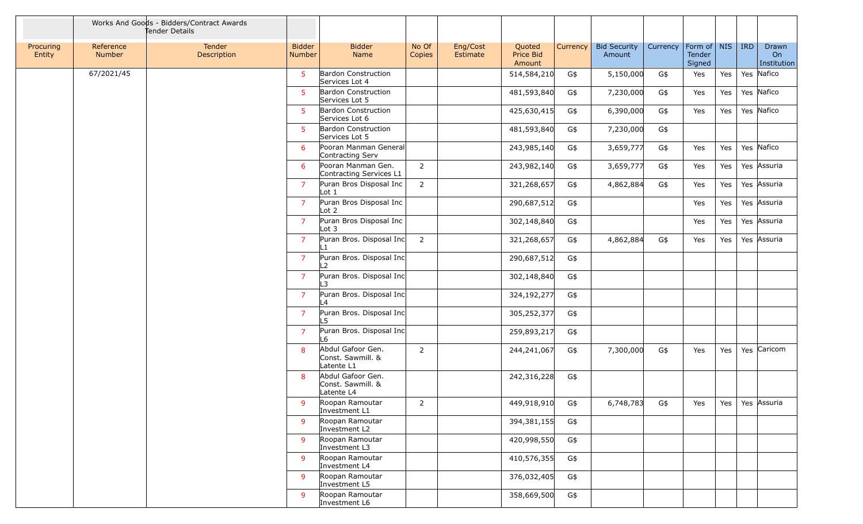|                     |                     | Works And Goods - Bidders/Contract Awards<br>Tender Details |                                |                                                      |                 |                      |                               |          |                               |          |                                 |     |            |                            |
|---------------------|---------------------|-------------------------------------------------------------|--------------------------------|------------------------------------------------------|-----------------|----------------------|-------------------------------|----------|-------------------------------|----------|---------------------------------|-----|------------|----------------------------|
| Procuring<br>Entity | Reference<br>Number | Tender<br>Description                                       | <b>Bidder</b><br><b>Number</b> | <b>Bidder</b><br>Name                                | No Of<br>Copies | Eng/Cost<br>Estimate | Quoted<br>Price Bid<br>Amount | Currency | <b>Bid Security</b><br>Amount | Currency | Form of NIS<br>Tender<br>Signed |     | <b>IRD</b> | Drawn<br>On<br>Institution |
|                     | 67/2021/45          |                                                             | 5 <sup>1</sup>                 | Bardon Construction<br>Services Lot 4                |                 |                      | 514,584,210                   | G\$      | 5,150,000                     | G\$      | Yes                             | Yes |            | Yes Nafico                 |
|                     |                     |                                                             | 5                              | <b>Bardon Construction</b><br>Services Lot 5         |                 |                      | 481,593,840                   | G\$      | 7,230,000                     | G\$      | Yes                             | Yes |            | Yes Nafico                 |
|                     |                     |                                                             | 5                              | Bardon Construction<br>Services Lot 6                |                 |                      | 425,630,415                   | G\$      | 6,390,000                     | G\$      | Yes                             | Yes |            | Yes Nafico                 |
|                     |                     |                                                             | 5                              | <b>Bardon Construction</b><br>Services Lot 5         |                 |                      | 481,593,840                   | G\$      | 7,230,000                     | G\$      |                                 |     |            |                            |
|                     |                     |                                                             | -6                             | Pooran Manman General<br>Contracting Serv            |                 |                      | 243,985,140                   | G\$      | 3,659,777                     | G\$      | Yes                             | Yes |            | Yes Nafico                 |
|                     |                     |                                                             | 6                              | Pooran Manman Gen.<br>Contracting Services L1        | $\overline{2}$  |                      | 243,982,140                   | G\$      | 3,659,777                     | G\$      | Yes                             | Yes |            | Yes Assuria                |
|                     |                     |                                                             | $\overline{7}$                 | Puran Bros Disposal Inc<br>Lot <sub>1</sub>          | $\overline{2}$  |                      | 321,268,657                   | G\$      | 4,862,884                     | G\$      | Yes                             | Yes |            | Yes Assuria                |
|                     |                     |                                                             | $\overline{7}$                 | Puran Bros Disposal Inc<br>Lot <sub>2</sub>          |                 |                      | 290,687,512                   | G\$      |                               |          | Yes                             | Yes |            | Yes Assuria                |
|                     |                     |                                                             | $\overline{7}$                 | Puran Bros Disposal Inc<br>Lot 3                     |                 |                      | 302,148,840                   | G\$      |                               |          | Yes                             | Yes |            | Yes Assuria                |
|                     |                     |                                                             | $\overline{7}$                 | Puran Bros. Disposal Inc                             | $\overline{2}$  |                      | 321,268,657                   | G\$      | 4,862,884                     | G\$      | Yes                             | Yes |            | Yes Assuria                |
|                     |                     |                                                             | $\overline{7}$                 | Puran Bros. Disposal Inc<br>L2                       |                 |                      | 290,687,512                   | G\$      |                               |          |                                 |     |            |                            |
|                     |                     |                                                             | $\overline{7}$                 | Puran Bros. Disposal Inc<br>-3                       |                 |                      | 302,148,840                   | G\$      |                               |          |                                 |     |            |                            |
|                     |                     |                                                             | $\overline{7}$                 | Puran Bros. Disposal Inc<br>L4                       |                 |                      | 324,192,277                   | G\$      |                               |          |                                 |     |            |                            |
|                     |                     |                                                             | $\overline{7}$                 | Puran Bros. Disposal Inc<br>L5                       |                 |                      | 305,252,377                   | G\$      |                               |          |                                 |     |            |                            |
|                     |                     |                                                             | $\overline{7}$                 | Puran Bros. Disposal Inc<br>L6                       |                 |                      | 259,893,217                   | G\$      |                               |          |                                 |     |            |                            |
|                     |                     |                                                             | 8                              | Abdul Gafoor Gen.<br>Const. Sawmill. &<br>Latente L1 | $\overline{2}$  |                      | 244,241,067                   | G\$      | 7,300,000                     | G\$      | Yes                             | Yes |            | Yes Caricom                |
|                     |                     |                                                             | 8                              | Abdul Gafoor Gen.<br>Const. Sawmill. &<br>Latente L4 |                 |                      | 242,316,228                   | G\$      |                               |          |                                 |     |            |                            |
|                     |                     |                                                             | 9                              | Roopan Ramoutar<br>Investment L1                     | $\overline{2}$  |                      | 449,918,910                   | G\$      | 6,748,783                     | G\$      | Yes                             | Yes |            | Yes Assuria                |
|                     |                     |                                                             | -9                             | Roopan Ramoutar<br>Investment L2                     |                 |                      | 394,381,155                   | G\$      |                               |          |                                 |     |            |                            |
|                     |                     |                                                             | -9                             | Roopan Ramoutar<br>Investment L3                     |                 |                      | 420,998,550                   | G\$      |                               |          |                                 |     |            |                            |
|                     |                     |                                                             | 9                              | Roopan Ramoutar<br>Investment L4                     |                 |                      | 410,576,355                   | G\$      |                               |          |                                 |     |            |                            |
|                     |                     |                                                             | -9                             | Roopan Ramoutar<br>Investment L5                     |                 |                      | 376,032,405                   | G\$      |                               |          |                                 |     |            |                            |
|                     |                     |                                                             | -9                             | Roopan Ramoutar<br>Investment L6                     |                 |                      | 358,669,500                   | G\$      |                               |          |                                 |     |            |                            |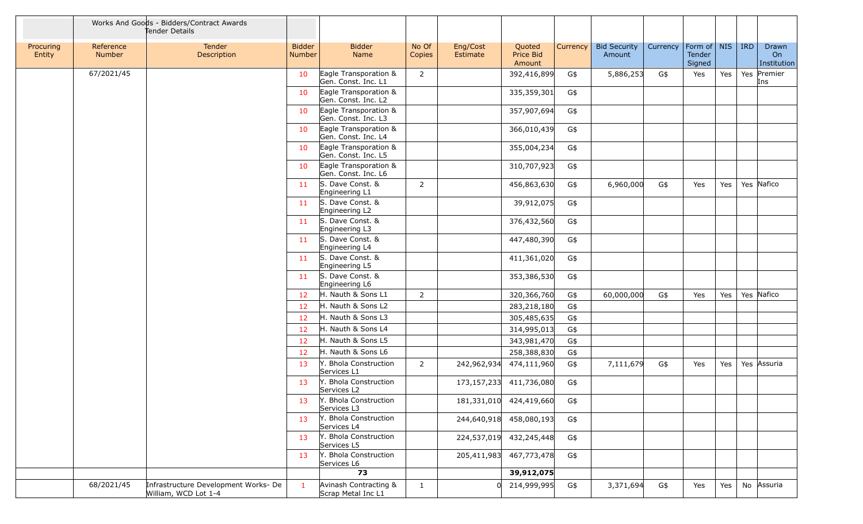|                     |                            | Works And Goods - Bidders/Contract Awards<br>Tender Details  |                                |                                              |                 |                      |                               |          |                               |          |                                             |     |     |                            |
|---------------------|----------------------------|--------------------------------------------------------------|--------------------------------|----------------------------------------------|-----------------|----------------------|-------------------------------|----------|-------------------------------|----------|---------------------------------------------|-----|-----|----------------------------|
| Procuring<br>Entity | Reference<br><b>Number</b> | Tender<br>Description                                        | <b>Bidder</b><br><b>Number</b> | <b>Bidder</b><br>Name                        | No Of<br>Copies | Eng/Cost<br>Estimate | Quoted<br>Price Bid<br>Amount | Currency | <b>Bid Security</b><br>Amount | Currency | $ $ Form of $ $ NIS $ $<br>Tender<br>Signed |     | IRD | Drawn<br>On<br>Institution |
|                     | 67/2021/45                 |                                                              | 10                             | Eagle Transporation &<br>Gen. Const. Inc. L1 | $\overline{2}$  |                      | 392,416,899                   | G\$      | 5,886,253                     | G\$      | Yes                                         | Yes |     | Yes Premier<br>Ins         |
|                     |                            |                                                              | 10                             | Eagle Transporation &<br>Gen. Const. Inc. L2 |                 |                      | 335,359,301                   | G\$      |                               |          |                                             |     |     |                            |
|                     |                            |                                                              | 10                             | Eagle Transporation &<br>Gen. Const. Inc. L3 |                 |                      | 357,907,694                   | G\$      |                               |          |                                             |     |     |                            |
|                     |                            |                                                              | 10                             | Eagle Transporation &<br>Gen. Const. Inc. L4 |                 |                      | 366,010,439                   | G\$      |                               |          |                                             |     |     |                            |
|                     |                            |                                                              | 10                             | Eagle Transporation &<br>Gen. Const. Inc. L5 |                 |                      | 355,004,234                   | G\$      |                               |          |                                             |     |     |                            |
|                     |                            |                                                              | 10                             | Eagle Transporation &<br>Gen. Const. Inc. L6 |                 |                      | 310,707,923                   | G\$      |                               |          |                                             |     |     |                            |
|                     |                            |                                                              | 11                             | S. Dave Const. &<br>Engineering L1           | $\overline{2}$  |                      | 456,863,630                   | G\$      | 6,960,000                     | G\$      | Yes                                         | Yes |     | Yes Nafico                 |
|                     |                            |                                                              | 11                             | S. Dave Const. &<br>Engineering L2           |                 |                      | 39,912,075                    | G\$      |                               |          |                                             |     |     |                            |
|                     |                            |                                                              | 11                             | S. Dave Const. &<br>Engineering L3           |                 |                      | 376,432,560                   | G\$      |                               |          |                                             |     |     |                            |
|                     |                            |                                                              | 11                             | S. Dave Const. &<br>Engineering L4           |                 |                      | 447,480,390                   | G\$      |                               |          |                                             |     |     |                            |
|                     |                            |                                                              | 11                             | S. Dave Const. &<br>Engineering L5           |                 |                      | 411,361,020                   | G\$      |                               |          |                                             |     |     |                            |
|                     |                            |                                                              | 11                             | S. Dave Const. &<br>Engineering L6           |                 |                      | 353,386,530                   | G\$      |                               |          |                                             |     |     |                            |
|                     |                            |                                                              | 12                             | H. Nauth & Sons L1                           | $\overline{2}$  |                      | 320,366,760                   | G\$      | 60,000,000                    | G\$      | Yes                                         | Yes |     | Yes Nafico                 |
|                     |                            |                                                              | 12                             | H. Nauth & Sons L2                           |                 |                      | 283,218,180                   | G\$      |                               |          |                                             |     |     |                            |
|                     |                            |                                                              | 12                             | H. Nauth & Sons L3                           |                 |                      | 305,485,635                   | G\$      |                               |          |                                             |     |     |                            |
|                     |                            |                                                              | 12                             | H. Nauth & Sons L4                           |                 |                      | 314,995,013                   | G\$      |                               |          |                                             |     |     |                            |
|                     |                            |                                                              | 12                             | H. Nauth & Sons L5                           |                 |                      | 343,981,470                   | G\$      |                               |          |                                             |     |     |                            |
|                     |                            |                                                              | 12                             | H. Nauth & Sons L6                           |                 |                      | 258,388,830                   | G\$      |                               |          |                                             |     |     |                            |
|                     |                            |                                                              | 13                             | Y. Bhola Construction<br>Services L1         | $\overline{2}$  | 242,962,934          | 474,111,960                   | G\$      | 7,111,679                     | G\$      | Yes                                         | Yes |     | Yes Assuria                |
|                     |                            |                                                              | 13                             | Y. Bhola Construction<br>Services L2         |                 |                      | 173,157,233 411,736,080       | G\$      |                               |          |                                             |     |     |                            |
|                     |                            |                                                              | 13                             | Y. Bhola Construction<br>Services L3         |                 |                      | 181,331,010 424,419,660       | G\$      |                               |          |                                             |     |     |                            |
|                     |                            |                                                              | 13                             | Y. Bhola Construction<br>Services L4         |                 |                      | 244,640,918 458,080,193       | G\$      |                               |          |                                             |     |     |                            |
|                     |                            |                                                              | 13                             | Y. Bhola Construction<br>Services L5         |                 |                      | 224,537,019 432,245,448       | G\$      |                               |          |                                             |     |     |                            |
|                     |                            |                                                              | 13                             | Y. Bhola Construction<br>Services L6         |                 | 205,411,983          | 467,773,478                   | G\$      |                               |          |                                             |     |     |                            |
|                     |                            |                                                              |                                | 73                                           |                 |                      | 39,912,075                    |          |                               |          |                                             |     |     |                            |
|                     | 68/2021/45                 | Infrastructure Development Works- De<br>William, WCD Lot 1-4 | $\mathbf{1}$                   | Avinash Contracting &<br>Scrap Metal Inc L1  | $\mathbf{1}$    |                      | 0 214,999,995                 | G\$      | 3,371,694                     | G\$      | Yes                                         | Yes |     | No Assuria                 |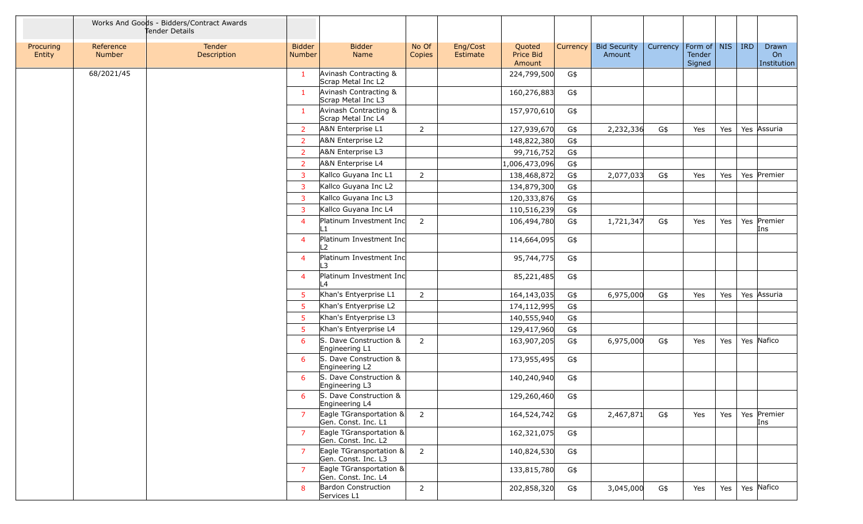|                     |                            | Works And Goods - Bidders/Contract Awards<br>Tender Details |                                |                                                   |                 |                      |                               |          |                               |          |                                 |     |            |                            |
|---------------------|----------------------------|-------------------------------------------------------------|--------------------------------|---------------------------------------------------|-----------------|----------------------|-------------------------------|----------|-------------------------------|----------|---------------------------------|-----|------------|----------------------------|
| Procuring<br>Entity | Reference<br><b>Number</b> | Tender<br>Description                                       | <b>Bidder</b><br><b>Number</b> | <b>Bidder</b><br>Name                             | No Of<br>Copies | Eng/Cost<br>Estimate | Quoted<br>Price Bid<br>Amount | Currency | <b>Bid Security</b><br>Amount | Currency | Form of NIS<br>Tender<br>Signed |     | <b>IRD</b> | Drawn<br>On<br>Institution |
|                     | 68/2021/45                 |                                                             | $\mathbf{1}$                   | Avinash Contracting &<br>Scrap Metal Inc L2       |                 |                      | 224,799,500                   | G\$      |                               |          |                                 |     |            |                            |
|                     |                            |                                                             | $\mathbf{1}$                   | Avinash Contracting &<br>Scrap Metal Inc L3       |                 |                      | 160,276,883                   | G\$      |                               |          |                                 |     |            |                            |
|                     |                            |                                                             | $\mathbf{1}$                   | Avinash Contracting &<br>Scrap Metal Inc L4       |                 |                      | 157,970,610                   | G\$      |                               |          |                                 |     |            |                            |
|                     |                            |                                                             | $\overline{2}$                 | A&N Enterprise L1                                 | $\overline{2}$  |                      | 127,939,670                   | G\$      | 2,232,336                     | G\$      | Yes                             | Yes |            | Yes Assuria                |
|                     |                            |                                                             | $\overline{2}$                 | A&N Enterprise L2                                 |                 |                      | 148,822,380                   | G\$      |                               |          |                                 |     |            |                            |
|                     |                            |                                                             | <sup>2</sup>                   | A&N Enterprise L3                                 |                 |                      | 99,716,752                    | G\$      |                               |          |                                 |     |            |                            |
|                     |                            |                                                             | $\overline{2}$                 | A&N Enterprise L4                                 |                 |                      | 1,006,473,096                 | G\$      |                               |          |                                 |     |            |                            |
|                     |                            |                                                             | 3                              | Kallco Guyana Inc L1                              | $\overline{2}$  |                      | 138,468,872                   | G\$      | 2,077,033                     | G\$      | Yes                             | Yes |            | Yes Premier                |
|                     |                            |                                                             | 3                              | Kallco Guyana Inc L2                              |                 |                      | 134,879,300                   | G\$      |                               |          |                                 |     |            |                            |
|                     |                            |                                                             | $\overline{3}$                 | Kallco Guyana Inc L3                              |                 |                      | 120,333,876                   | G\$      |                               |          |                                 |     |            |                            |
|                     |                            |                                                             | 3                              | Kallco Guyana Inc L4                              |                 |                      | 110,516,239                   | G\$      |                               |          |                                 |     |            |                            |
|                     |                            |                                                             | $\overline{4}$                 | Platinum Investment Inc                           | $\overline{2}$  |                      | 106,494,780                   | G\$      | 1,721,347                     | G\$      | Yes                             | Yes |            | Yes Premier<br>Ins         |
|                     |                            |                                                             | $\overline{4}$                 | Platinum Investment Inc<br>$\overline{2}$         |                 |                      | 114,664,095                   | G\$      |                               |          |                                 |     |            |                            |
|                     |                            |                                                             | $\overline{4}$                 | Platinum Investment Inc<br>3                      |                 |                      | 95,744,775                    | G\$      |                               |          |                                 |     |            |                            |
|                     |                            |                                                             | 4                              | Platinum Investment Inc<br>$\overline{A}$         |                 |                      | 85,221,485                    | G\$      |                               |          |                                 |     |            |                            |
|                     |                            |                                                             | 5                              | Khan's Entyerprise L1                             | $\overline{2}$  |                      | 164,143,035                   | G\$      | 6,975,000                     | G\$      | Yes                             | Yes |            | Yes Assuria                |
|                     |                            |                                                             | -5                             | Khan's Entyerprise L2                             |                 |                      | 174,112,995                   | G\$      |                               |          |                                 |     |            |                            |
|                     |                            |                                                             | -5                             | Khan's Entyerprise L3                             |                 |                      | 140,555,940                   | G\$      |                               |          |                                 |     |            |                            |
|                     |                            |                                                             | -5                             | Khan's Entyerprise L4                             |                 |                      | 129,417,960                   | G\$      |                               |          |                                 |     |            |                            |
|                     |                            |                                                             | 6                              | S. Dave Construction &<br>Engineering L1          | $\overline{2}$  |                      | 163,907,205                   | G\$      | 6,975,000                     | G\$      | Yes                             | Yes |            | Yes Nafico                 |
|                     |                            |                                                             | 6                              | S. Dave Construction &<br>Engineering L2          |                 |                      | 173,955,495                   | G\$      |                               |          |                                 |     |            |                            |
|                     |                            |                                                             | 6                              | S. Dave Construction &<br>Engineering L3          |                 |                      | 140,240,940                   | G\$      |                               |          |                                 |     |            |                            |
|                     |                            |                                                             | 6                              | S. Dave Construction &<br>Engineering L4          |                 |                      | 129,260,460                   | G\$      |                               |          |                                 |     |            |                            |
|                     |                            |                                                             | $\overline{7}$                 | Eagle TGransportation &<br>Gen. Const. Inc. L1    | $\overline{2}$  |                      | 164,524,742                   | G\$      | 2,467,871                     | G\$      | Yes                             | Yes |            | Yes Premier<br>Ins         |
|                     |                            |                                                             | <sup>7</sup>                   | Eagle TGransportation &<br>Gen. Const. Inc. L2    |                 |                      | 162,321,075                   | G\$      |                               |          |                                 |     |            |                            |
|                     |                            |                                                             | 7                              | Eagle TGransportation &<br>Gen. Const. Inc. L3    | $\overline{2}$  |                      | 140,824,530                   | G\$      |                               |          |                                 |     |            |                            |
|                     |                            |                                                             | $\overline{7}$                 | Eagle TGransportation $\&$<br>Gen. Const. Inc. L4 |                 |                      | 133,815,780                   | G\$      |                               |          |                                 |     |            |                            |
|                     |                            |                                                             | 8                              | <b>Bardon Construction</b><br>Services L1         | $\overline{2}$  |                      | 202,858,320                   | G\$      | 3,045,000                     | G\$      | Yes                             | Yes |            | Yes Nafico                 |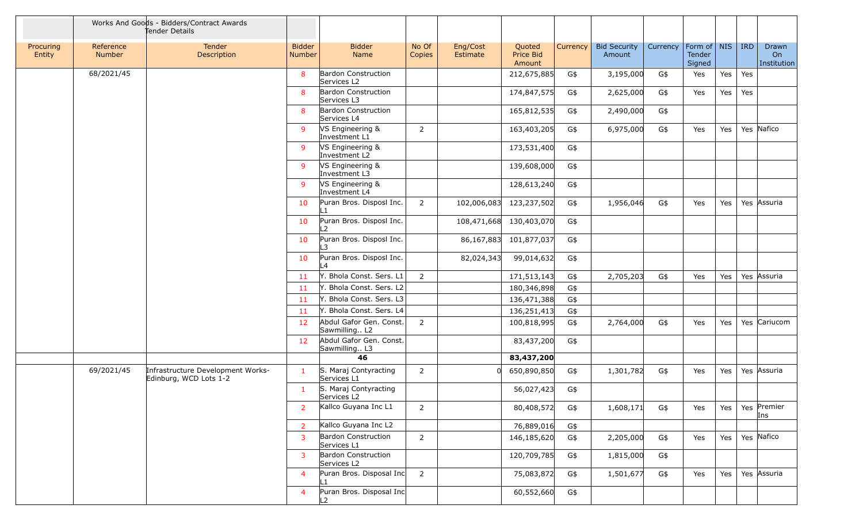|                     |                            | Works And Goods - Bidders/Contract Awards<br>Tender Details |                                |                                            |                 |                         |                               |          |                               |          |                                 |     |     |                            |
|---------------------|----------------------------|-------------------------------------------------------------|--------------------------------|--------------------------------------------|-----------------|-------------------------|-------------------------------|----------|-------------------------------|----------|---------------------------------|-----|-----|----------------------------|
| Procuring<br>Entity | Reference<br><b>Number</b> | Tender<br>Description                                       | <b>Bidder</b><br><b>Number</b> | <b>Bidder</b><br>Name                      | No Of<br>Copies | Eng/Cost<br>Estimate    | Quoted<br>Price Bid<br>Amount | Currency | <b>Bid Security</b><br>Amount | Currency | Form of NIS<br>Tender<br>Signed |     | IRD | Drawn<br>On<br>Institution |
|                     | 68/2021/45                 |                                                             | 8                              | Bardon Construction<br>Services L2         |                 |                         | 212,675,885                   | G\$      | 3,195,000                     | G\$      | Yes                             | Yes | Yes |                            |
|                     |                            |                                                             | 8                              | <b>Bardon Construction</b><br>Services L3  |                 |                         | 174,847,575                   | G\$      | 2,625,000                     | G\$      | Yes                             | Yes | Yes |                            |
|                     |                            |                                                             | 8                              | <b>Bardon Construction</b><br>Services L4  |                 |                         | 165,812,535                   | G\$      | 2,490,000                     | G\$      |                                 |     |     |                            |
|                     |                            |                                                             | -9                             | VS Engineering &<br>Investment L1          | 2               |                         | 163,403,205                   | G\$      | 6,975,000                     | G\$      | Yes                             | Yes |     | Yes Nafico                 |
|                     |                            |                                                             | -9                             | VS Engineering &<br>Investment L2          |                 |                         | 173,531,400                   | G\$      |                               |          |                                 |     |     |                            |
|                     |                            |                                                             | 9                              | VS Engineering &<br>Investment L3          |                 |                         | 139,608,000                   | G\$      |                               |          |                                 |     |     |                            |
|                     |                            |                                                             | -9                             | VS Engineering &<br>Investment L4          |                 |                         | 128,613,240                   | G\$      |                               |          |                                 |     |     |                            |
|                     |                            |                                                             | 10                             | Puran Bros. Disposl Inc.<br>$\mathbf{1}$   | 2               | 102,006,083 123,237,502 |                               | G\$      | 1,956,046                     | G\$      | Yes                             | Yes |     | Yes Assuria                |
|                     |                            |                                                             | 10                             | Puran Bros. Disposl Inc.<br>-2             |                 | 108,471,668 130,403,070 |                               | G\$      |                               |          |                                 |     |     |                            |
|                     |                            |                                                             | 10                             | Puran Bros. Disposl Inc.<br>3              |                 | 86,167,883              | 101,877,037                   | G\$      |                               |          |                                 |     |     |                            |
|                     |                            |                                                             | 10                             | Puran Bros. Disposl Inc.<br>$\overline{A}$ |                 | 82,024,343              | 99,014,632                    | G\$      |                               |          |                                 |     |     |                            |
|                     |                            |                                                             | 11                             | Y. Bhola Const. Sers. L1                   | 2               |                         | 171,513,143                   | G\$      | 2,705,203                     | G\$      | Yes                             | Yes |     | Yes Assuria                |
|                     |                            |                                                             | 11                             | Y. Bhola Const. Sers. L2                   |                 |                         | 180,346,898                   | G\$      |                               |          |                                 |     |     |                            |
|                     |                            |                                                             | 11                             | Y. Bhola Const. Sers. L3                   |                 |                         | 136,471,388                   | G\$      |                               |          |                                 |     |     |                            |
|                     |                            |                                                             | -11                            | Y. Bhola Const. Sers. L4                   |                 |                         | 136,251,413                   | G\$      |                               |          |                                 |     |     |                            |
|                     |                            |                                                             | 12                             | Abdul Gafor Gen. Const.<br>Sawmilling L2   | $\overline{2}$  |                         | 100,818,995                   | G\$      | 2,764,000                     | G\$      | Yes                             | Yes |     | Yes Cariucom               |
|                     |                            |                                                             | 12                             | Abdul Gafor Gen. Const.<br>Sawmilling L3   |                 |                         | 83,437,200                    | G\$      |                               |          |                                 |     |     |                            |
|                     |                            |                                                             |                                | 46                                         |                 |                         | 83,437,200                    |          |                               |          |                                 |     |     |                            |
|                     | 69/2021/45                 | Infrastructure Development Works-<br>Edinburg, WCD Lots 1-2 | $\mathbf{1}$                   | S. Maraj Contyracting<br>Services L1       | 2               | <sub>0</sub>            | 650,890,850                   | G\$      | 1,301,782                     | G\$      | Yes                             | Yes |     | Yes Assuria                |
|                     |                            |                                                             | -1                             | S. Maraj Contyracting<br>Services L2       |                 |                         | 56,027,423                    | G\$      |                               |          |                                 |     |     |                            |
|                     |                            |                                                             | 2                              | Kallco Guyana Inc L1                       | $\overline{2}$  |                         | 80,408,572                    | G\$      | 1,608,171                     | G\$      | Yes                             | Yes |     | Yes Premier<br>Ins         |
|                     |                            |                                                             | $\overline{2}$                 | Kallco Guyana Inc L2                       |                 |                         | 76,889,016                    | G\$      |                               |          |                                 |     |     |                            |
|                     |                            |                                                             | 3                              | <b>Bardon Construction</b><br>Services L1  | $\overline{2}$  |                         | 146,185,620                   | G\$      | 2,205,000                     | G\$      | Yes                             | Yes |     | Yes Nafico                 |
|                     |                            |                                                             | 3                              | <b>Bardon Construction</b><br>Services L2  |                 |                         | 120,709,785                   | G\$      | 1,815,000                     | G\$      |                                 |     |     |                            |
|                     |                            |                                                             | $\overline{4}$                 | Puran Bros. Disposal Inc<br>$\mathbf{-1}$  | $\overline{2}$  |                         | 75,083,872                    | G\$      | 1,501,677                     | G\$      | Yes                             | Yes |     | Yes Assuria                |
|                     |                            |                                                             | $\overline{4}$                 | Puran Bros. Disposal Inc<br>$\overline{2}$ |                 |                         | 60,552,660                    | G\$      |                               |          |                                 |     |     |                            |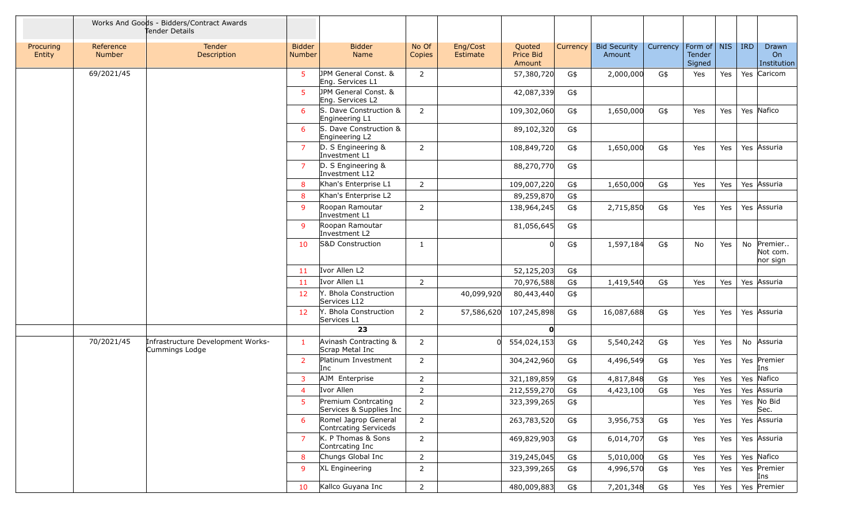|                     |                     | Works And Goods - Bidders/Contract Awards<br>Fender Details |                                |                                                |                 |                      |                               |          |                               |          |                                   |            |            |                                 |
|---------------------|---------------------|-------------------------------------------------------------|--------------------------------|------------------------------------------------|-----------------|----------------------|-------------------------------|----------|-------------------------------|----------|-----------------------------------|------------|------------|---------------------------------|
| Procuring<br>Entity | Reference<br>Number | <b>Tender</b><br>Description                                | <b>Bidder</b><br><b>Number</b> | <b>Bidder</b><br>Name                          | No Of<br>Copies | Eng/Cost<br>Estimate | Quoted<br>Price Bid<br>Amount | Currency | <b>Bid Security</b><br>Amount | Currency | Form of   NIS<br>Tender<br>Signed |            | <b>IRD</b> | Drawn<br>On<br>Institution      |
|                     | 69/2021/45          |                                                             | 5                              | JPM General Const. &<br>Eng. Services L1       | 2               |                      | 57,380,720                    | G\$      | 2,000,000                     | G\$      | Yes                               | Yes        |            | Yes Caricom                     |
|                     |                     |                                                             | 5                              | JPM General Const. &<br>Eng. Services L2       |                 |                      | 42,087,339                    | G\$      |                               |          |                                   |            |            |                                 |
|                     |                     |                                                             | 6                              | S. Dave Construction &<br>Engineering L1       | $\overline{2}$  |                      | 109,302,060                   | G\$      | 1,650,000                     | G\$      | Yes                               | Yes        |            | Yes Nafico                      |
|                     |                     |                                                             | 6                              | S. Dave Construction &<br>Engineering L2       |                 |                      | 89,102,320                    | G\$      |                               |          |                                   |            |            |                                 |
|                     |                     |                                                             | $\overline{7}$                 | D. S Engineering &<br>Investment L1            | 2               |                      | 108,849,720                   | G\$      | 1,650,000                     | G\$      | Yes                               | Yes        |            | Yes Assuria                     |
|                     |                     |                                                             | $\overline{7}$                 | D. S Engineering &<br>Investment L12           |                 |                      | 88,270,770                    | G\$      |                               |          |                                   |            |            |                                 |
|                     |                     |                                                             | -8                             | Khan's Enterprise L1                           | $\overline{2}$  |                      | 109,007,220                   | G\$      | 1,650,000                     | G\$      | Yes                               | Yes        |            | Yes Assuria                     |
|                     |                     |                                                             | 8                              | Khan's Enterprise L2                           |                 |                      | 89,259,870                    | G\$      |                               |          |                                   |            |            |                                 |
|                     |                     |                                                             | 9                              | Roopan Ramoutar<br>Investment L1               | 2               |                      | 138,964,245                   | G\$      | 2,715,850                     | G\$      | Yes                               | Yes        |            | Yes Assuria                     |
|                     |                     |                                                             | -9                             | Roopan Ramoutar<br>Investment L2               |                 |                      | 81,056,645                    | G\$      |                               |          |                                   |            |            |                                 |
|                     |                     |                                                             | 10                             | S&D Construction                               | -1              |                      | U                             | G\$      | 1,597,184                     | G\$      | No                                | Yes        | No         | Premier<br>Not com.<br>nor sign |
|                     |                     |                                                             | 11                             | Ivor Allen L2                                  |                 |                      | 52,125,203                    | G\$      |                               |          |                                   |            |            |                                 |
|                     |                     |                                                             | -11                            | Ivor Allen L1                                  | $\overline{2}$  |                      | 70,976,588                    | G\$      | 1,419,540                     | G\$      | Yes                               | Yes        |            | Yes Assuria                     |
|                     |                     |                                                             | 12                             | Y. Bhola Construction<br>Services L12          |                 | 40,099,920           | 80,443,440                    | G\$      |                               |          |                                   |            |            |                                 |
|                     |                     |                                                             | 12                             | Y. Bhola Construction<br>Services L1           | $\overline{2}$  | 57,586,620           | 107,245,898                   | G\$      | 16,087,688                    | G\$      | Yes                               | <b>Yes</b> |            | Yes Assuria                     |
|                     |                     |                                                             |                                | 23                                             |                 |                      | O                             |          |                               |          |                                   |            |            |                                 |
|                     | 70/2021/45          | Infrastructure Development Works-<br>Cummings Lodge         | $\mathbf{1}$                   | Avinash Contracting &<br>Scrap Metal Inc       | $\overline{2}$  | 0l                   | 554,024,153                   | G\$      | 5,540,242                     | G\$      | Yes                               | Yes        |            | No Assuria                      |
|                     |                     |                                                             | 2                              | Platinum Investment<br>Inc                     | 2               |                      | 304,242,960                   | G\$      | 4,496,549                     | G\$      | Yes                               | Yes        |            | Yes Premier<br>Ins              |
|                     |                     |                                                             | 3                              | AJM Enterprise                                 | $\overline{2}$  |                      | 321,189,859                   | G\$      | 4,817,848                     | G\$      | Yes                               | Yes        |            | Yes Nafico                      |
|                     |                     |                                                             | $\overline{4}$                 | Ivor Allen                                     | $\overline{2}$  |                      | 212,559,270                   | G\$      | 4,423,100                     | G\$      | Yes                               | Yes        |            | Yes Assuria                     |
|                     |                     |                                                             | 5                              | Premium Contrcating<br>Services & Supplies Inc | 2               |                      | 323,399,265                   | G\$      |                               |          | Yes                               | Yes $ $    |            | Yes No Bid<br>Sec.              |
|                     |                     |                                                             | 6                              | Romel Jagrop General<br>Contrcating Serviceds  | $\overline{2}$  |                      | 263,783,520                   | G\$      | 3,956,753                     | G\$      | Yes                               | Yes        |            | Yes Assuria                     |
|                     |                     |                                                             | $\overline{7}$                 | K. P Thomas & Sons<br>Contrcating Inc          | $\overline{2}$  |                      | 469,829,903                   | G\$      | 6,014,707                     | G\$      | Yes                               | Yes        |            | Yes Assuria                     |
|                     |                     |                                                             | 8                              | Chungs Global Inc                              | $\overline{2}$  |                      | 319,245,045                   | G\$      | 5,010,000                     | G\$      | Yes                               | Yes        |            | Yes Nafico                      |
|                     |                     |                                                             | 9                              | XL Engineering                                 | $\overline{2}$  |                      | 323,399,265                   | G\$      | 4,996,570                     | G\$      | Yes                               | Yes        |            | Yes Premier<br>Ins              |
|                     |                     |                                                             | 10                             | Kallco Guyana Inc                              | $2^{\circ}$     |                      | 480,009,883                   | G\$      | 7,201,348                     | G\$      | Yes                               | Yes        |            | Yes Premier                     |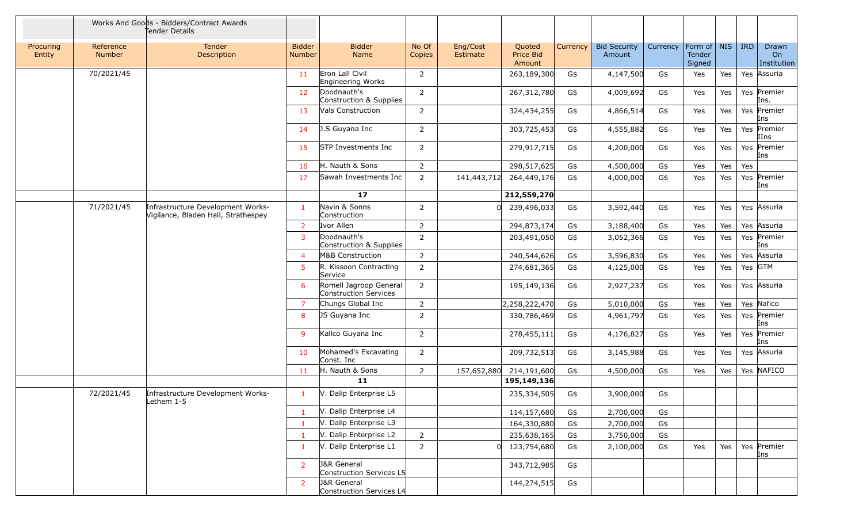|                     |                     | Works And Goods - Bidders/Contract Awards<br>Tender Details              |                                |                                                    |                 |                      |                               |          |                               |          |                                   |     |     |                            |
|---------------------|---------------------|--------------------------------------------------------------------------|--------------------------------|----------------------------------------------------|-----------------|----------------------|-------------------------------|----------|-------------------------------|----------|-----------------------------------|-----|-----|----------------------------|
| Procuring<br>Entity | Reference<br>Number | Tender<br>Description                                                    | <b>Bidder</b><br><b>Number</b> | <b>Bidder</b><br>Name                              | No Of<br>Copies | Eng/Cost<br>Estimate | Quoted<br>Price Bid<br>Amount | Currency | <b>Bid Security</b><br>Amount | Currency | Form of   NIS<br>Tender<br>Signed |     | IRD | Drawn<br>On<br>Institution |
|                     | 70/2021/45          |                                                                          | 11                             | Eron Lall Civil<br>Engineering Works               | $\overline{2}$  |                      | 263,189,300                   | G\$      | 4,147,500                     | G\$      | Yes                               | Yes |     | Yes Assuria                |
|                     |                     |                                                                          | 12                             | Doodnauth's<br>Construction & Supplies             | $\overline{2}$  |                      | 267,312,780                   | G\$      | 4,009,692                     | G\$      | Yes                               | Yes |     | Yes Premier<br>Ins.        |
|                     |                     |                                                                          | 13                             | <b>Vals Construction</b>                           | $\overline{2}$  |                      | 324,434,255                   | G\$      | 4,866,514                     | G\$      | Yes                               | Yes |     | Yes Premier<br>Ins         |
|                     |                     |                                                                          | 14                             | J.S Guyana Inc                                     | $\overline{2}$  |                      | 303,725,453                   | G\$      | 4,555,882                     | G\$      | Yes                               | Yes |     | Yes Premier<br>IIns        |
|                     |                     |                                                                          | 15                             | STP Investments Inc                                | $\overline{2}$  |                      | 279,917,715                   | G\$      | 4,200,000                     | G\$      | Yes                               | Yes |     | Yes Premier<br>Ins         |
|                     |                     |                                                                          | 16                             | H. Nauth & Sons                                    | $\overline{2}$  |                      | 298,517,625                   | G\$      | 4,500,000                     | G\$      | Yes                               | Yes | Yes |                            |
|                     |                     |                                                                          | 17                             | Sawah Investments Inc                              | $\overline{2}$  | 141,443,712          | 264,449,176                   | G\$      | 4,000,000                     | G\$      | Yes                               | Yes |     | Yes Premier<br>Ins         |
|                     |                     |                                                                          |                                | 17 <sub>2</sub>                                    |                 |                      | 212,559,270                   |          |                               |          |                                   |     |     |                            |
|                     | 71/2021/45          | Infrastructure Development Works-<br>Vigilance, Bladen Hall, Strathespey | $\overline{1}$                 | Navin & Sonns<br>Construction                      | $\overline{2}$  | $\Omega$             | 239,496,033                   | G\$      | 3,592,440                     | G\$      | Yes                               | Yes |     | Yes Assuria                |
|                     |                     |                                                                          | $\overline{2}$                 | Ivor Allen                                         | $\overline{2}$  |                      | 294,873,174                   | G\$      | 3,188,400                     | G\$      | Yes                               | Yes |     | Yes Assuria                |
|                     |                     |                                                                          | 3                              | Doodnauth's<br>Construction & Supplies             | $\overline{2}$  |                      | 203,491,050                   | G\$      | 3,052,366                     | G\$      | Yes                               | Yes |     | Yes Premier<br>Ins         |
|                     |                     |                                                                          | $\overline{4}$                 | M&B Construction                                   | $\overline{2}$  |                      | 240,544,626                   | G\$      | 3,596,830                     | G\$      | Yes                               | Yes |     | Yes Assuria                |
|                     |                     |                                                                          | 5                              | R. Kissoon Contracting<br>Service                  | $\overline{2}$  |                      | 274,681,365                   | G\$      | 4,125,000                     | G\$      | Yes                               | Yes |     | Yes GTM                    |
|                     |                     |                                                                          | 6                              | Romell Jagroop General<br>Construction Services    | $\overline{2}$  |                      | 195,149,136                   | G\$      | 2,927,237                     | G\$      | Yes                               | Yes |     | Yes Assuria                |
|                     |                     |                                                                          | $\overline{7}$                 | Chungs Global Inc                                  | $\overline{2}$  |                      | 2,258,222,470                 | G\$      | 5,010,000                     | G\$      | Yes                               | Yes |     | Yes Nafico                 |
|                     |                     |                                                                          | 8                              | JS Guyana Inc                                      | $\overline{2}$  |                      | 330,786,469                   | G\$      | 4,961,797                     | G\$      | Yes                               | Yes |     | Yes Premier<br>Ins         |
|                     |                     |                                                                          | 9                              | Kallco Guyana Inc                                  | $\overline{2}$  |                      | 278,455,111                   | G\$      | 4,176,827                     | G\$      | Yes                               | Yes |     | Yes Premier<br>Ins         |
|                     |                     |                                                                          | 10                             | Mohamed's Excavating<br>Const. Inc                 | $\overline{2}$  |                      | 209,732,513                   | G\$      | 3,145,988                     | G\$      | Yes                               | Yes |     | Yes Assuria                |
|                     |                     |                                                                          | 11                             | H. Nauth & Sons                                    | $2^{\circ}$     | 157,652,880          | 214,191,600                   | G\$      | 4,500,000                     | G\$      | Yes                               | Yes |     | Yes NAFICO                 |
|                     |                     |                                                                          |                                | 11                                                 |                 |                      | 195,149,136                   |          |                               |          |                                   |     |     |                            |
|                     | 72/2021/45          | Infrastructure Development Works-<br>Lethem 1-5                          | -1                             | V. Dalip Enterprise L5                             |                 |                      | 235,334,505                   | G\$      | 3,900,000                     | G\$      |                                   |     |     |                            |
|                     |                     |                                                                          | $\mathbf{1}$                   | V. Dalip Enterprise L4                             |                 |                      | 114,157,680                   | G\$      | 2,700,000                     | G\$      |                                   |     |     |                            |
|                     |                     |                                                                          | $\mathbf{1}$                   | V. Dalip Enterprise L3                             |                 |                      | 164,330,880                   | G\$      | 2,700,000                     | G\$      |                                   |     |     |                            |
|                     |                     |                                                                          | $\mathbf{1}$                   | V. Dalip Enterprise L2                             | $2^{\circ}$     |                      | 235,638,165                   | G\$      | 3,750,000                     | G\$      |                                   |     |     |                            |
|                     |                     |                                                                          | $\mathbf{1}$                   | V. Dalip Enterprise L1                             | $\overline{2}$  |                      | 123,754,680                   | G\$      | 2,100,000                     | G\$      | Yes                               | Yes |     | Yes Premier<br>Ins         |
|                     |                     |                                                                          | 2                              | <b>J&amp;R</b> General<br>Construction Services L5 |                 |                      | 343,712,985                   | G\$      |                               |          |                                   |     |     |                            |
|                     |                     |                                                                          | 2                              | <b>J&amp;R</b> General<br>Construction Services L4 |                 |                      | 144,274,515                   | G\$      |                               |          |                                   |     |     |                            |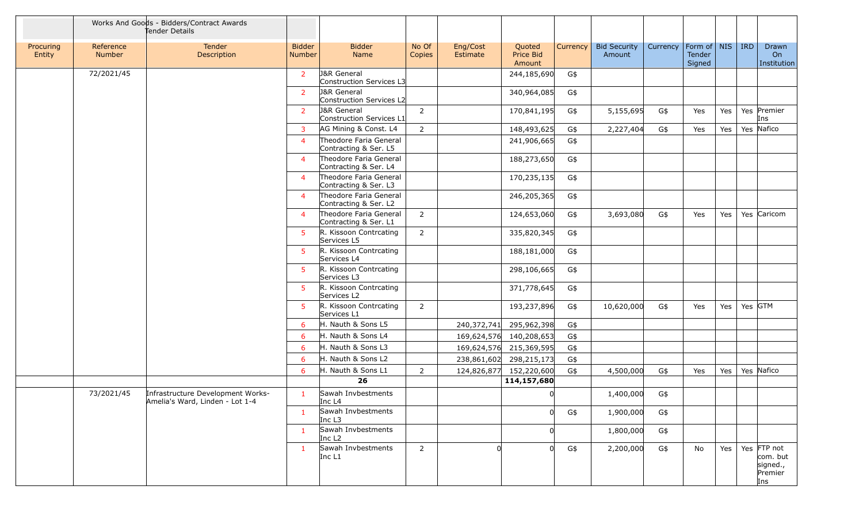|                     |                     | Works And Goods - Bidders/Contract Awards<br>Tender Details          |                                |                                                    |                 |                      |                               |          |                               |          |                                   |     |     |                                                       |
|---------------------|---------------------|----------------------------------------------------------------------|--------------------------------|----------------------------------------------------|-----------------|----------------------|-------------------------------|----------|-------------------------------|----------|-----------------------------------|-----|-----|-------------------------------------------------------|
| Procuring<br>Entity | Reference<br>Number | Tender<br>Description                                                | <b>Bidder</b><br><b>Number</b> | <b>Bidder</b><br>Name                              | No Of<br>Copies | Eng/Cost<br>Estimate | Quoted<br>Price Bid<br>Amount | Currency | <b>Bid Security</b><br>Amount | Currency | Form of   NIS<br>Tender<br>Signed |     | IRD | Drawn<br>On<br>Institution                            |
|                     | 72/2021/45          |                                                                      | 2                              | J&R General<br>Construction Services L3            |                 |                      | 244,185,690                   | G\$      |                               |          |                                   |     |     |                                                       |
|                     |                     |                                                                      | $\overline{2}$                 | <b>J&amp;R</b> General<br>Construction Services L2 |                 |                      | 340,964,085                   | G\$      |                               |          |                                   |     |     |                                                       |
|                     |                     |                                                                      | $\overline{2}$                 | <b>J&amp;R</b> General<br>Construction Services L1 | $\overline{2}$  |                      | 170,841,195                   | G\$      | 5,155,695                     | G\$      | Yes                               | Yes |     | Yes Premier<br>Ins                                    |
|                     |                     |                                                                      | $\overline{3}$                 | AG Mining & Const. L4                              | $\overline{2}$  |                      | 148,493,625                   | G\$      | 2,227,404                     | G\$      | Yes                               | Yes |     | Yes Nafico                                            |
|                     |                     |                                                                      | $\overline{4}$                 | Theodore Faria General<br>Contracting & Ser. L5    |                 |                      | 241,906,665                   | G\$      |                               |          |                                   |     |     |                                                       |
|                     |                     |                                                                      | $\overline{4}$                 | Theodore Faria General<br>Contracting & Ser. L4    |                 |                      | 188,273,650                   | G\$      |                               |          |                                   |     |     |                                                       |
|                     |                     |                                                                      | $\overline{4}$                 | Theodore Faria General<br>Contracting & Ser. L3    |                 |                      | 170,235,135                   | G\$      |                               |          |                                   |     |     |                                                       |
|                     |                     |                                                                      | $\overline{4}$                 | Theodore Faria General<br>Contracting & Ser. L2    |                 |                      | 246,205,365                   | G\$      |                               |          |                                   |     |     |                                                       |
|                     |                     |                                                                      | $\overline{4}$                 | Theodore Faria General<br>Contracting & Ser. L1    | $\overline{2}$  |                      | 124,653,060                   | G\$      | 3,693,080                     | G\$      | Yes                               | Yes |     | Yes Caricom                                           |
|                     |                     |                                                                      | 5                              | R. Kissoon Contrcating<br>Services L5              | $\overline{2}$  |                      | 335,820,345                   | G\$      |                               |          |                                   |     |     |                                                       |
|                     |                     |                                                                      | 5                              | R. Kissoon Contrcating<br>Services L4              |                 |                      | 188,181,000                   | G\$      |                               |          |                                   |     |     |                                                       |
|                     |                     |                                                                      | 5                              | R. Kissoon Contrcating<br>Services L3              |                 |                      | 298,106,665                   | G\$      |                               |          |                                   |     |     |                                                       |
|                     |                     |                                                                      | 5                              | R. Kissoon Contrcating<br>Services L2              |                 |                      | 371,778,645                   | G\$      |                               |          |                                   |     |     |                                                       |
|                     |                     |                                                                      | 5                              | R. Kissoon Contrcating<br>Services L1              | $\overline{2}$  |                      | 193,237,896                   | G\$      | 10,620,000                    | G\$      | Yes                               | Yes |     | Yes GTM                                               |
|                     |                     |                                                                      | 6                              | H. Nauth & Sons L5                                 |                 | 240,372,741          | 295,962,398                   | G\$      |                               |          |                                   |     |     |                                                       |
|                     |                     |                                                                      | 6                              | H. Nauth & Sons L4                                 |                 |                      | 169,624,576 140,208,653       | G\$      |                               |          |                                   |     |     |                                                       |
|                     |                     |                                                                      | 6                              | H. Nauth & Sons L3                                 |                 |                      | 169,624,576 215,369,595       | G\$      |                               |          |                                   |     |     |                                                       |
|                     |                     |                                                                      | 6                              | H. Nauth & Sons L2                                 |                 | 238,861,602          | 298,215,173                   | G\$      |                               |          |                                   |     |     |                                                       |
|                     |                     |                                                                      | 6                              | H. Nauth & Sons L1<br>26                           | $\overline{2}$  | 124,826,877          | 152,220,600<br>114,157,680    | G\$      | 4,500,000                     | G\$      | Yes                               | Yes |     | Yes Nafico                                            |
|                     | 73/2021/45          | Infrastructure Development Works-<br>Amelia's Ward, Linden - Lot 1-4 | $\mathbf{1}$                   | Sawah Invbestments<br>Inc L <sub>4</sub>           |                 |                      | <sup>0</sup>                  |          | 1,400,000                     | G\$      |                                   |     |     |                                                       |
|                     |                     |                                                                      | $\mathbf{1}$                   | Sawah Invbestments<br>Inc $L3$                     |                 |                      | $\Omega$                      | G\$      | 1,900,000                     | G\$      |                                   |     |     |                                                       |
|                     |                     |                                                                      | $\mathbf{1}$                   | Sawah Invbestments<br>Inc L <sub>2</sub>           |                 |                      | 0                             |          | 1,800,000                     | G\$      |                                   |     |     |                                                       |
|                     |                     |                                                                      | $\mathbf{1}$                   | Sawah Invbestments<br>Inc L1                       | $2^{\circ}$     | <sup>0</sup>         | $\Omega$                      | G\$      | 2,200,000                     | G\$      | No                                | Yes |     | Yes FTP not<br>com. but<br>signed.,<br>Premier<br>Ins |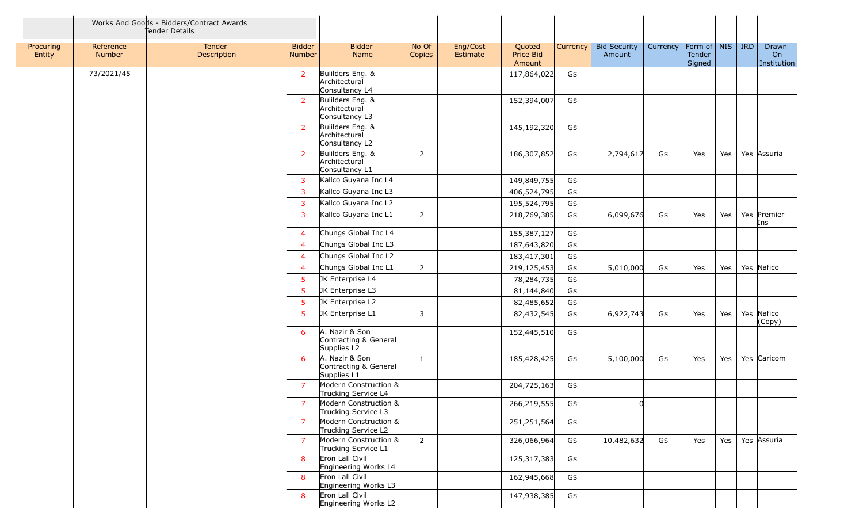|                     |                            | Works And Goods - Bidders/Contract Awards<br>Tender Details |                                |                                                        |                 |                      |                               |          |                               |          |                                         |     |            |                            |
|---------------------|----------------------------|-------------------------------------------------------------|--------------------------------|--------------------------------------------------------|-----------------|----------------------|-------------------------------|----------|-------------------------------|----------|-----------------------------------------|-----|------------|----------------------------|
| Procuring<br>Entity | Reference<br><b>Number</b> | Tender<br>Description                                       | <b>Bidder</b><br><b>Number</b> | <b>Bidder</b><br>Name                                  | No Of<br>Copies | Eng/Cost<br>Estimate | Quoted<br>Price Bid<br>Amount | Currency | <b>Bid Security</b><br>Amount | Currency | Form of $\vert$ NIS<br>Tender<br>Signed |     | <b>IRD</b> | Drawn<br>On<br>Institution |
|                     | 73/2021/45                 |                                                             | 2                              | Builders Eng. &<br>Architectural<br>Consultancy L4     |                 |                      | 117,864,022                   | G\$      |                               |          |                                         |     |            |                            |
|                     |                            |                                                             | <sup>2</sup>                   | Builders Eng. &<br>Architectural<br>Consultancy L3     |                 |                      | 152,394,007                   | G\$      |                               |          |                                         |     |            |                            |
|                     |                            |                                                             | <sup>2</sup>                   | Builders Eng. &<br>Architectural<br>Consultancy L2     |                 |                      | 145,192,320                   | G\$      |                               |          |                                         |     |            |                            |
|                     |                            |                                                             | $\overline{2}$                 | Builders Eng. &<br>Architectural<br>Consultancy L1     | $\overline{2}$  |                      | 186,307,852                   | G\$      | 2,794,617                     | G\$      | Yes                                     | Yes |            | Yes Assuria                |
|                     |                            |                                                             | 3                              | Kallco Guyana Inc L4                                   |                 |                      | 149,849,755                   | G\$      |                               |          |                                         |     |            |                            |
|                     |                            |                                                             | $\overline{3}$                 | Kallco Guyana Inc L3                                   |                 |                      | 406,524,795                   | G\$      |                               |          |                                         |     |            |                            |
|                     |                            |                                                             | 3                              | Kallco Guyana Inc L2                                   |                 |                      | 195,524,795                   | G\$      |                               |          |                                         |     |            |                            |
|                     |                            |                                                             | 3                              | Kallco Guyana Inc L1                                   | 2               |                      | 218,769,385                   | G\$      | 6,099,676                     | G\$      | Yes                                     | Yes |            | Yes Premier<br>Ins         |
|                     |                            |                                                             | $\overline{4}$                 | Chungs Global Inc L4                                   |                 |                      | 155,387,127                   | G\$      |                               |          |                                         |     |            |                            |
|                     |                            |                                                             | $\overline{4}$                 | Chungs Global Inc L3                                   |                 |                      | 187,643,820                   | G\$      |                               |          |                                         |     |            |                            |
|                     |                            |                                                             | $\overline{4}$                 | Chungs Global Inc L2                                   |                 |                      | 183,417,301                   | G\$      |                               |          |                                         |     |            |                            |
|                     |                            |                                                             | $\overline{4}$                 | Chungs Global Inc L1                                   | $\overline{2}$  |                      | 219,125,453                   | G\$      | 5,010,000                     | G\$      | Yes                                     | Yes |            | Yes Nafico                 |
|                     |                            |                                                             | 5                              | JK Enterprise L4                                       |                 |                      | 78,284,735                    | G\$      |                               |          |                                         |     |            |                            |
|                     |                            |                                                             | 5                              | JK Enterprise L3                                       |                 |                      | 81,144,840                    | G\$      |                               |          |                                         |     |            |                            |
|                     |                            |                                                             | -5                             | JK Enterprise L2                                       |                 |                      | 82,485,652                    | G\$      |                               |          |                                         |     |            |                            |
|                     |                            |                                                             | -5                             | JK Enterprise L1                                       | $\mathbf{3}$    |                      | 82,432,545                    | G\$      | 6,922,743                     | G\$      | Yes                                     | Yes |            | Yes Nafico<br>(Copy)       |
|                     |                            |                                                             | 6                              | A. Nazir & Son<br>Contracting & General<br>Supplies L2 |                 |                      | 152,445,510                   | G\$      |                               |          |                                         |     |            |                            |
|                     |                            |                                                             | 6                              | A. Nazir & Son<br>Contracting & General<br>Supplies L1 | $\mathbf{1}$    |                      | 185,428,425                   | G\$      | 5,100,000                     | G\$      | Yes                                     | Yes |            | Yes Caricom                |
|                     |                            |                                                             | $\overline{7}$                 | Modern Construction &<br>Trucking Service L4           |                 |                      | 204,725,163                   | G\$      |                               |          |                                         |     |            |                            |
|                     |                            |                                                             | $\overline{7}$                 | Modern Construction &<br>Trucking Service L3           |                 |                      | 266,219,555                   | G\$      | <sub>0</sub>                  |          |                                         |     |            |                            |
|                     |                            |                                                             | $\overline{7}$                 | Modern Construction &<br>Trucking Service L2           |                 |                      | 251,251,564                   | G\$      |                               |          |                                         |     |            |                            |
|                     |                            |                                                             | 7                              | Modern Construction &<br>Trucking Service L1           | $2^{\circ}$     |                      | 326,066,964                   | G\$      | 10,482,632                    | G\$      | Yes                                     | Yes |            | Yes Assuria                |
|                     |                            |                                                             | 8                              | Eron Lall Civil<br>Engineering Works L4                |                 |                      | 125,317,383                   | G\$      |                               |          |                                         |     |            |                            |
|                     |                            |                                                             | 8                              | Eron Lall Civil<br>Engineering Works L3                |                 |                      | 162,945,668                   | G\$      |                               |          |                                         |     |            |                            |
|                     |                            |                                                             | 8                              | Eron Lall Civil<br>Engineering Works L2                |                 |                      | 147,938,385                   | G\$      |                               |          |                                         |     |            |                            |